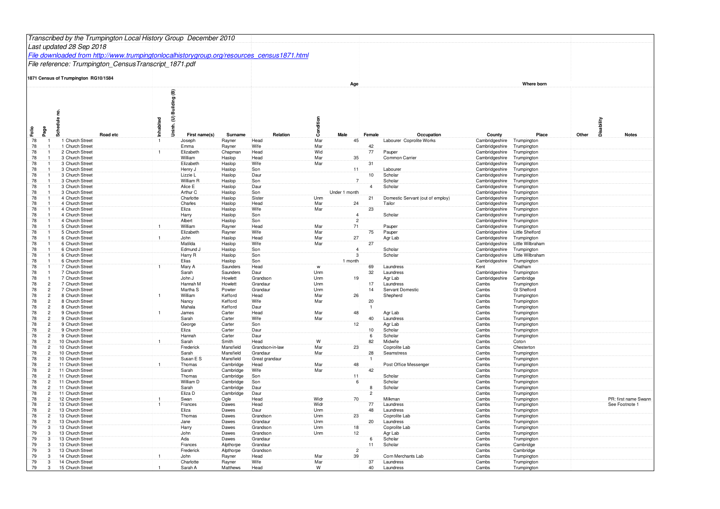|                                              |       | Transcribed by the Trumpington Local History Group December 2010                           |           |                                          |                        |                         |            |                 |                |                                  |                                  |                                 |                     |                                        |
|----------------------------------------------|-------|--------------------------------------------------------------------------------------------|-----------|------------------------------------------|------------------------|-------------------------|------------|-----------------|----------------|----------------------------------|----------------------------------|---------------------------------|---------------------|----------------------------------------|
|                                              |       | Last updated 28 Sep 2018                                                                   |           |                                          |                        |                         |            |                 |                |                                  |                                  |                                 |                     |                                        |
|                                              |       | File downloaded from http://www.trumpingtonlocalhistorygroup.org/resources_census1871.html |           |                                          |                        |                         |            |                 |                |                                  |                                  |                                 |                     |                                        |
|                                              |       | File reference: Trumpington_CensusTranscript_1871.pdf                                      |           |                                          |                        |                         |            |                 |                |                                  |                                  |                                 |                     |                                        |
|                                              |       | 1871 Census of Trumpington RG10/1584                                                       |           |                                          |                        |                         |            |                 |                |                                  |                                  |                                 |                     |                                        |
|                                              |       |                                                                                            |           |                                          |                        |                         |            | Age             |                |                                  |                                  | Where born                      |                     |                                        |
| Folio<br>Page                                | Sched | Road etc                                                                                   | Inhabited | Uninh. (U) Building (B)<br>First name(s) | Surname                | Relation                | Condition  | Male            | Female         | Occupation                       | County                           | Place                           | Disability<br>Other | <b>Notes</b>                           |
| 78<br>78                                     |       | 1 Church Street<br>1 Church Street                                                         |           | Joseph<br>Emma                           | Rayner<br>Rayner       | Head<br>Wife            | Mar<br>Mar | 45              | 42             | Labourer Coprolite Works         | Cambridgeshire<br>Cambridgeshire | Trumpington<br>Trumpington      |                     |                                        |
| 78                                           |       | 2 Church Street                                                                            |           | Elizabeth                                | Chapman                | Head                    | Wid        |                 | 77             | Pauper                           | Cambridgeshire                   | Trumpington                     |                     |                                        |
| 78<br>78                                     |       | 3 Church Street<br>3 Church Street                                                         |           | William<br>Elizabeth                     | Haslop<br>Haslop       | Head<br>Wife            | Mar<br>Mar | 35              | 31             | Common Carrier                   | Cambridgeshire<br>Cambridgeshire | Trumpington<br>Trumpington      |                     |                                        |
| 78                                           |       | 3 Church Street                                                                            |           | Henry J                                  | Haslop                 | Son                     |            | 11              |                | Labourer                         | Cambridgeshire                   | Trumpington                     |                     |                                        |
| 78                                           |       | 3 Church Street                                                                            |           | Lizzie L                                 | Haslop                 | Daur                    |            |                 | 10             | Scholar                          | Cambridgeshire                   | Trumpington                     |                     |                                        |
| 78                                           |       | 3 Church Street                                                                            |           | William R                                | Haslop                 | Son                     |            | $\overline{7}$  |                | Scholar                          | Cambridgeshire                   | Trumpington                     |                     |                                        |
| 78<br>78                                     |       | 3 Church Street<br>3 Church Street                                                         |           | Alice E<br>Arthur C                      | Haslop<br>Haslop       | Daur<br>Son             |            | Under 1 month   | $\overline{4}$ | Scholar                          | Cambridgeshire<br>Cambridgeshire | Trumpington<br>Trumpington      |                     |                                        |
| 78                                           |       | 4 Church Street                                                                            |           | Charlotte                                | Haslop                 | Sister                  | Unm        |                 | 21             | Domestic Servant (out of employ) | Cambridgeshire                   | Trumpington                     |                     |                                        |
| 78                                           |       | 4 Church Street                                                                            |           | Charles                                  | Haslop                 | Head                    | Mar        | 24              |                | Tailor                           | Cambridgeshire                   | Trumpington                     |                     |                                        |
| 78                                           |       | 4 Church Street                                                                            |           | Eliza                                    | Haslop                 | Wife                    | Mar        |                 | 23             |                                  | Cambridgeshire                   | Trumpington                     |                     |                                        |
| 78<br>78                                     |       | 4 Church Street<br>4 Church Street                                                         |           | Harry<br>Albert                          | Haslop<br>Haslop       | Son<br>Son              |            | $\overline{2}$  |                | Scholar                          | Cambridgeshire<br>Cambridgeshire | Trumpington<br>Trumpington      |                     |                                        |
| 78                                           |       | 5 Church Street                                                                            |           | William                                  | Rayner                 | Head                    | Mar        | 71              |                | Pauper                           | Cambridgeshire                   | Trumpington                     |                     |                                        |
| 78                                           |       | 5 Church Street                                                                            |           | Elizabeth                                | Rayner                 | Wife                    | Mar        |                 | $75\,$         | Pauper                           | Cambridgeshire                   | Little Shelford                 |                     |                                        |
| 78<br>78                                     |       | 6 Church Street<br>6 Church Street                                                         |           | John<br>Matilda                          | Haslop<br>Haslop       | Head<br>Wife            | Mar<br>Mar | 27              | 27             | Agr Lab                          | Cambridgeshire<br>Cambridgeshire | Trumpington<br>Little Wilbraham |                     |                                        |
| 78                                           |       | 6 Church Street                                                                            |           | Edmund J                                 | Haslop                 | Son                     |            | $\overline{a}$  |                | Scholar                          | Cambridgeshire                   | Trumpington                     |                     |                                        |
| 78                                           |       | 6 Church Street                                                                            |           | Harry R                                  | Haslop                 | Son                     |            | 3               |                | Scholar                          | Cambridgeshire                   | Little Wilbraham                |                     |                                        |
| 78                                           |       | 6 Church Street                                                                            |           | Elias                                    | Haslop                 | Son                     |            | 1 month         |                |                                  | Cambridgeshire                   | Trumpington                     |                     |                                        |
| 78<br>78                                     |       | 7 Church Street<br>7 Church Street                                                         |           | Mary A<br>Sarah                          | Saunders<br>Saunders   | Head<br>Daur            | W<br>Unm   |                 | 69<br>32       | Laundress<br>Laundress           | Kent<br>Cambridgeshire           | Chatham<br>Trumpington          |                     |                                        |
| 78                                           |       | 7 Church Street                                                                            |           | John J                                   | Howlett                | Grandson                | Unm        | 19              |                | Agr Lab                          | Cambridgeshire                   | Cambridge                       |                     |                                        |
| 78                                           |       | 7 Church Street                                                                            |           | Hannah M                                 | Howlett                | Grandaur                | Unm        |                 | 17             | Laundress                        | Cambs                            | Trumpingtor                     |                     |                                        |
| 78<br>$\overline{2}$                         |       | 7 Church Street<br>8 Church Street                                                         |           | Martha <sub>S</sub><br>William           | Powter                 | Grandau<br>Head         | Unm<br>Mar |                 | 14             | Servant Domesti                  | Cambs                            | Gt Shelford                     |                     |                                        |
| 78<br>78<br>$\overline{2}$                   |       | 8 Church Street                                                                            |           | Nancy                                    | Kefford<br>Kefford     | Wife                    | Mar        | 26              | 20             | Shepherd                         | Cambs<br>Cambs                   | Trumpingtor<br>Trumpingtor      |                     |                                        |
| 78<br>$\overline{2}$                         |       | 8 Church Street                                                                            |           | Mahala                                   | Kefford                | Daur                    |            |                 |                |                                  | Cambs                            | Trumpington                     |                     |                                        |
| 78<br>$\overline{2}$                         |       | 9 Church Street                                                                            |           | James                                    | Carter                 | Head                    | Mar        | 48              |                | Agr Lab                          | Cambs                            | Trumpingtor                     |                     |                                        |
| 78<br>$\overline{2}$<br>78<br>$\overline{2}$ |       | 9 Church Street<br>9 Church Street                                                         |           | Sarah<br>George                          | Carter<br>Carter       | Wife<br>Son             | Mar        | 12 <sup>2</sup> | 40             | Laundress<br>Agr Lab             | Cambs<br>Cambs                   | Trumpington<br>Trumpington      |                     |                                        |
| 78<br>$\overline{2}$                         |       | 9 Church Street                                                                            |           | Eliza                                    | Carter                 | Daur                    |            |                 | 10             | Scholar                          | Cambs                            | Trumpington                     |                     |                                        |
| 78<br>$2^{\frac{1}{2}}$                      |       | 9 Church Street                                                                            |           | Hannah                                   | Carter                 | Daur                    |            |                 | 6              | Scholar                          | Cambs                            | Trumpington                     |                     |                                        |
| 78<br>$\overline{2}$<br>78                   |       | 10 Church Street                                                                           |           | Sarah<br>Frederick                       | Smith<br>Mansfield     | Head<br>Grandson-in-law | W<br>Mar   | 23              | 82             | Midwife<br>Coprolite Lab         | Cambs                            | Coton<br>Chesterton             |                     |                                        |
| $\overline{2}$<br>78<br>$\overline{2}$       |       | 10 Church Street<br>10 Church Street                                                       |           | Sarah                                    | Mansfield              | Grandaur                | Mar        |                 | 28             | Seamstress                       | Cambs<br>Cambs                   | Trumpington                     |                     |                                        |
| 78<br>$2^{\frac{1}{2}}$                      |       | 10 Church Street                                                                           |           | Susan E S                                | Mansfield              | Great grandaur          |            |                 |                |                                  | Cambs                            | Trumpington                     |                     |                                        |
| 78<br>$\overline{c}$                         |       | 11 Church Street                                                                           |           | Thomas                                   | Cambridge              | Head                    | Mar        | 48              |                | Post Office Messeng              | Cambs                            | Trumpington                     |                     |                                        |
| 78<br>$\overline{2}$<br>78<br>$\overline{2}$ |       | 11 Church Street<br>11 Church Street                                                       |           | Sarah<br>Thomas                          | Cambridge<br>Cambridge | Wife<br>Son             | Mar        |                 | 42             | Scholar                          | Cambs<br>Cambs                   | Trumpingtor<br>Trumpington      |                     |                                        |
| 78<br>2                                      |       | 11 Church Street                                                                           |           | William D                                | Cambridge              | Son                     |            | ĥ               |                | Scholar                          | Cambs                            | Trumpington                     |                     |                                        |
| 78<br>$\overline{2}$                         |       | 11 Church Street                                                                           |           | Sarah                                    | Cambridge              | Daur                    |            |                 | 8              | Scholar                          | Cambs                            | Trumpington                     |                     |                                        |
| 78<br>$\overline{2}$<br>$\overline{2}$       |       | 11 Church Street                                                                           |           | Eliza D                                  | Cambridge              | Daur                    | Widr       |                 | $\overline{2}$ | Milkman                          | Cambs                            | Trumpington                     |                     |                                        |
| 78<br>78<br>$\overline{2}$                   |       | 12 Church Street<br>13 Church Street                                                       |           | Swan<br>Frances                          | Ogle<br>Dawes          | Head<br>Head            | Widr       | 70              | 77             | Laundress                        | Cambs<br>Cambs                   | Trumpington<br>Trumpington      |                     | PR: first name Swann<br>See Footnote 1 |
| 78<br>$\overline{2}$                         |       | 13 Church Street                                                                           |           | Eliza                                    | Dawes                  | Daur                    | Unm        |                 | 48             | Laundress                        | Cambs                            | Trumpington                     |                     |                                        |
| 78<br>$\overline{2}$                         |       | 13 Church Street                                                                           |           | Thomas                                   | Dawes                  | Grandson                | Unm        | 23              |                | Coprolite Lab                    | Cambs                            | Trumpington                     |                     |                                        |
| 78<br>$\overline{2}$<br>79<br>$\mathcal{B}$  |       | 13 Church Street<br>13 Church Street                                                       |           | Jane<br>Harry                            | Dawes<br>Dawes         | Grandaur<br>Grandson    | Unm<br>Unm | 18 <sup>°</sup> | 20             | Laundress<br>Coprolite Lab       | Cambs<br>Cambs                   | Trumpington<br>Trumpington      |                     |                                        |
| 79<br>$\mathcal{B}$                          |       | 13 Church Street                                                                           |           | John                                     | Dawes                  | Grandson                | Unm        | 12 <sub>1</sub> |                | Agr Lab                          | Cambs                            | Trumpington                     |                     |                                        |
| 79<br>3                                      |       | 13 Church Street                                                                           |           | Ada                                      | Dawes                  | Grandaur                |            |                 |                | Scholar                          | Cambs                            | Trumpington                     |                     |                                        |
| 79<br>3                                      |       | 13 Church Street                                                                           |           | Frances                                  | Alpthorpe              | Grandaur                |            | $\overline{2}$  | 11             | Scholar                          | Cambs                            | Cambridge                       |                     |                                        |
| 79<br>$\mathcal{B}$<br>79<br>3               |       | 13 Church Street<br>14 Church Street                                                       |           | Frederick<br>John                        | Alpthorpe<br>Rayner    | Grandson<br>Head        | Mar        | 39              |                | Corn Merchants Lab               | Cambs<br>Cambs                   | Cambridge<br>Trumpington        |                     |                                        |
| 79<br>$3^{\circ}$                            |       | 14 Church Street                                                                           |           | Charlotte                                | Rayner                 | Wife                    | Mar        |                 | 37             | Laundress                        | Cambs                            | Trumpington                     |                     |                                        |
| 79<br>$\mathcal{R}$                          |       | 15 Church Street                                                                           |           | Sarah A                                  | Matthews               | Head                    | W          |                 | 40             | Laundress                        | Cambs                            | Trumpington                     |                     |                                        |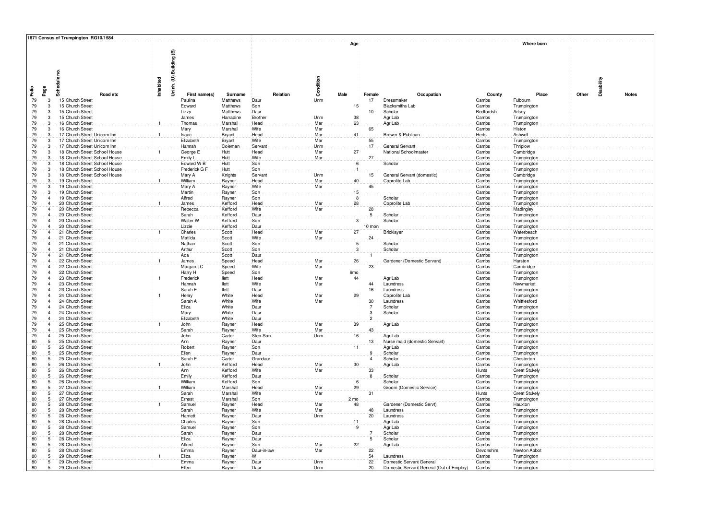|          |                                  | 1871 Census of Trumpington RG10/1584                           |              |                         |                       |                    |            |                 |                      |                                          |                     |                                     |            |              |
|----------|----------------------------------|----------------------------------------------------------------|--------------|-------------------------|-----------------------|--------------------|------------|-----------------|----------------------|------------------------------------------|---------------------|-------------------------------------|------------|--------------|
|          |                                  | Schedule no                                                    | Inhabited    | Jninh. (U) Building (B) |                       |                    | Condition  | Age             |                      |                                          |                     | Where born                          | Disability |              |
| Ě        | Page                             | Road etc                                                       |              | First name(s)           | Surname               | Relation           |            | Male            | Female               | Occupation                               | County              | Place                               | Other      | <b>Notes</b> |
| 79       | 3                                | 15 Church Street                                               |              | Paulina                 | Matthews              | Daur               | Unm        |                 | 17                   | Dressmaker                               | Cambs               | Fulbourn                            |            |              |
| 79       | $\overline{3}$                   | 15 Church Street                                               |              | Edward                  | Matthews              | Son                |            | 15 <sub>1</sub> |                      | <b>Blacksmiths Lab</b>                   | Cambs               | Trumpington                         |            |              |
| 79<br>79 | 3<br>$3^{\circ}$                 | 15 Church Street<br>15 Church Street                           |              | Lizzy                   | Matthews              | Daur<br>Brother    |            | 38              | 10                   | Scholar                                  | Bedfordsh<br>Cambs  | Arlsey                              |            |              |
| 79       | $\mathbf{3}$                     | 16 Church Street                                               | 1            | James<br>Thomas         | Harradine<br>Marshall | Head               | Unm<br>Mar | 63              |                      | Agr Lab<br>Agr Lab                       | Cambs               | Trumpington<br>Trumpington          |            |              |
| 79       | $\mathbf{B}$                     | 16 Church Street                                               |              | Mary                    | Marshall              | Wife               | Mar        |                 | 65                   |                                          | Cambs               | Histon                              |            |              |
| 79       | $\mathbf{3}$                     | 17 Church Street Unicorn Inn                                   | $\mathbf{1}$ | <b>Isaac</b>            | Bryant                | Head               | Mar        | 41              |                      | Brewer & Publican                        | Herts               | Ashwell                             |            |              |
| 79       | 3                                | 17 Church Street Unicorn Inn                                   |              | Elizabeth               | Bryant                | Wife               | Mar        |                 | 55                   |                                          | Cambs               | Trumpington                         |            |              |
| 79       | 3                                | 17 Church Street Unicorn Inn                                   |              | Hannah                  | Coleman               | Servant            | Unm<br>Mar | 27 <sup>2</sup> | 17                   | General Servant                          | Cambs               | Thriplow                            |            |              |
| 79<br>79 | 3<br>3                           | 18 Church Street School House<br>18 Church Street School House |              | George E<br>Emily L     | Hutt<br>Hutt          | Head<br>Wife       | Mar        |                 | 27                   | National Schoolmaster                    | Cambs<br>Cambs      | Cambridge<br>Trumpington            |            |              |
| 79       | $\overline{3}$                   | 18 Church Street School House                                  |              | Edward W B              | Hutt                  | Son                |            | 6               |                      | Scholar                                  | Cambs               | Trumpington                         |            |              |
| 79       | 3                                | 18 Church Street School House                                  |              | Frederick G F           | Hutt                  | Son                |            | $\overline{1}$  |                      |                                          | Cambs               | Trumpington                         |            |              |
| 79       | $3^{\circ}$                      | 18 Church Street School House                                  |              | Mary A                  | Knights               | Servant            | Unm        |                 | 15                   | General Servant (domestic)               | Cambs               | Cambridge                           |            |              |
| 79       | 3                                | 19 Church Street                                               | $\mathbf{1}$ | William                 | Rayner                | Head               | Mar        | 40              |                      | Coprolite Lab                            | Cambs               | Trumpington                         |            |              |
| 79<br>79 | 3<br>$3^{\circ}$                 | 19 Church Street                                               |              | Mary A                  | Rayner                | Wife               | Mar        | 15 <sub>1</sub> | 45                   |                                          | Cambs               | Trumpington                         |            |              |
| 79       | $\overline{4}$                   | 19 Church Street<br>19 Church Street                           |              | Martin<br>Alfred        | Rayner<br>Rayner      | Son<br>Son         |            | 8               |                      | Scholar                                  | Cambs<br>Cambs      | Trumpington<br>Trumpington          |            |              |
| 79       | $\overline{a}$                   | 20 Church Street                                               | $\mathbf{1}$ | James                   | Kefford               | Head               | Mar        | 28              |                      | Coprolite Lab                            | Cambs               | Trumpington                         |            |              |
| 79       | $\overline{4}$                   | 20 Church Street                                               |              | Rebecca                 | Kefford               | Wife               | Mar        |                 | $28\,$               |                                          | Cambs               | Madingley                           |            |              |
| 79       | $\overline{4}$                   | 20 Church Street                                               |              | Sarah                   | Kefford               | Daur               |            |                 | $5\phantom{.0}$      | Scholar                                  | Cambs               | Trumpington                         |            |              |
| 79       | $\overline{4}$<br>$\overline{4}$ | 20 Church Street                                               |              | Walter W                | Kefford               | Son                |            | $\overline{3}$  |                      | Scholar                                  | Cambs               | Trumpington                         |            |              |
| 79<br>79 | $\overline{a}$                   | 20 Church Street<br>21 Church Street                           |              | Lizzie<br>Charles       | Kefford<br>Scott      | Daur<br>Head       | Mar        | 27              | 10 mon               | Bricklayer                               | Cambs<br>Cambs      | Trumpington<br>Waterbeach           |            |              |
| 79       | $\overline{4}$                   | 21 Church Street                                               |              | Matilda                 | Scott                 | Wife               | Mar        |                 | 24                   |                                          | Cambs               | Trumpington                         |            |              |
| 79       | $\overline{4}$                   | 21 Church Street                                               |              | Nathan                  | Scott                 | Son                |            | 5               |                      | Scholar                                  | Cambs               | Trumpington                         |            |              |
| 79       | $\overline{4}$                   | 21 Church Street                                               |              | Arthur                  | Scott                 | Son                |            | 3               |                      | Scholar                                  | Cambs               | Trumpington                         |            |              |
| 79       | $\overline{4}$                   | 21 Church Street                                               |              | Ada                     | Scott                 | Daur               |            |                 |                      |                                          | Cambs               | Trumpington                         |            |              |
| 79<br>79 | $\overline{4}$<br>$\overline{a}$ | 22 Church Street<br>22 Church Street                           | $\mathbf{1}$ | James                   | Speed                 | Head<br>Wife       | Mar<br>Mar | 26              | 23                   | Gardener (Domestic Servant)              | Cambs<br>Cambs      | Harston                             |            |              |
| 79       | $\overline{a}$                   | 22 Church Street                                               |              | Margaret C<br>Harry H   | Speed<br>Speed        | Son                |            | 6mo             |                      |                                          | Cambs               | Cambridge<br>Trumpington            |            |              |
| 79       | $\overline{a}$                   | 23 Church Street                                               |              | Frederick               | llett                 | Head               | Mar        | 44              |                      | Agr Lab                                  | Cambs               | Trumpington                         |            |              |
| 79       | $\overline{4}$                   | 23 Church Street                                               |              | Hannah                  | llett                 | Wife               | Mar        |                 | 44                   | Laundress                                | Cambs               | Newmarket                           |            |              |
| 79       | $\overline{4}$                   | 23 Church Street                                               |              | Sarah E                 | llett                 | Daur               |            |                 | 16                   | Laundress                                | Cambs               | Trumpington                         |            |              |
| 79       | $\overline{4}$<br>$\overline{a}$ | 24 Church Street                                               |              | Henry                   | White                 | Head<br>Wife       | Mar<br>Mar | 29              |                      | Coprolite Lab                            | Cambs               | Trumpington                         |            |              |
| 79<br>79 | $\overline{4}$                   | 24 Church Street<br>24 Church Street                           |              | Sarah A<br>Eliza        | White<br>White        | Daur               |            |                 | 30<br>$\overline{7}$ | Laundress<br>Scholar                     | Cambs<br>Cambs      | Whittlesford<br>Trumpington         |            |              |
| 79       | $4^{\circ}$                      | 24 Church Street                                               |              | Mary                    | White                 | Daur               |            |                 | 3                    | Scholar                                  | Cambs               | Trumpington                         |            |              |
| 79       | $\overline{4}$                   | 24 Church Street                                               |              | Elizabeth               | White                 | Daur               |            |                 | $\overline{2}$       |                                          | Cambs               | Trumpington                         |            |              |
| 79       | $\overline{4}$                   | 25 Church Street                                               |              | John                    | Rayner                | Head               | Mar        | 39              |                      | Agr Lab                                  | Cambs               | Trumpington                         |            |              |
| 79       | $\overline{4}$                   | 25 Church Street                                               |              | Sarah                   | Rayner                | Wife               | Mar        |                 | 43                   |                                          | Cambs               | Trumpington                         |            |              |
| 79<br>80 | $\overline{4}$<br>5              | 25 Church Street<br>25 Church Street                           |              | John<br>Ann             | Carter<br>Rayner      | Step-Son<br>Daur   | Unm        | 16              | 13                   | Agr Lab<br>Nurse maid (domestic Servant) | Cambs<br>Cambs      | Trumpington<br>Trumpington          |            |              |
| 80       | 5                                | 25 Church Street                                               |              | Robert                  | Rayner                | Son                |            | 11              |                      | Agr Lab                                  | Cambs               | Trumpington                         |            |              |
| 80       | - 5                              | 25 Church Street                                               |              | Ellen                   | Rayner                | Daur               |            |                 | g                    | Scholar                                  | Cambs               | Trumpington                         |            |              |
| 80       | $5^{\circ}$                      | 25 Church Street                                               |              | Sarah E                 | Carter                | Grandaur           |            |                 | Ā                    | Scholar                                  | Cambs               | Chesterton                          |            |              |
| 80       | 5                                | 26 Church Street                                               |              | John                    | Kefford               | Head               | Mar        | 30 <sub>1</sub> |                      | Agr Lab                                  | Cambs               | Trumpington                         |            |              |
| 80<br>80 | 5<br>5 <sub>1</sub>              | 26 Church Street<br>26 Church Street                           |              | Ann<br>Emily            | Kefford<br>Kefford    | Wife<br>Daur       | Mar        |                 | 33<br>8              | Scholar                                  | Hunts<br>Cambs      | <b>Great Stukely</b><br>Trumpington |            |              |
| 80       | $\overline{5}$                   | 26 Church Street                                               |              | William                 | Kefford               | Son                |            | 6               |                      | Scholar                                  | Cambs               | Trumpington                         |            |              |
| 80       | 5                                | 27 Church Street                                               | $\mathbf{1}$ | William                 | Marshall              | Head               | Mar        | 29              |                      | Groom (Domestic Service)                 | Cambs               | Trumpington                         |            |              |
| 80       | 5 <sub>1</sub>                   | 27 Church Street                                               |              | Sarah                   | Marshall              | Wife               | Mar        |                 | 31                   |                                          | <b>Hunts</b>        | Great Stukely                       |            |              |
| 80       | 5                                | 27 Church Street                                               |              | Ernest                  | Marshall              | Son                |            | $2 \text{ mo}$  |                      |                                          | Cambs               | Trumpington                         |            |              |
| 80<br>80 | 5<br>5                           | 28 Church Street<br>28 Church Street                           |              | Samuel<br>Sarah         | Rayner<br>Rayner      | Head<br>Wife       | Mar<br>Mar | 48              | 48                   | Gardener (Domestic Servt)<br>Laundress   | Cambs<br>Cambs      | Hauxton<br>Trumpington              |            |              |
| 80       | 5                                | 28 Church Street                                               |              | Harriett                | Rayner                | Daur               | Unm        |                 | 20                   | Laundress                                | Cambs               | Trumpington                         |            |              |
| 80       | 5 <sup>1</sup>                   | 28 Church Street                                               |              | Charles                 | Rayner                | Son                |            | 11              |                      | Agr Lab                                  | Cambs               | Trumpington                         |            |              |
| 80       | 5                                | 28 Church Street                                               |              | Samuel                  | Rayner                | Son                |            | 9               |                      | Agr Lab                                  | Cambs               | Trumpington                         |            |              |
| 80       | 5 <sub>1</sub>                   | 28 Church Street                                               |              | Sarah                   | Rayner                | Daur               |            |                 |                      | Scholar                                  | Cambs               | Trumpington                         |            |              |
| 80<br>80 | 5                                | 28 Church Street                                               |              | Eliza                   | Rayner                | Daur               |            |                 | 5                    | Scholar                                  | Cambs               | Trumpington                         |            |              |
| 80       | -5.<br>5                         | 28 Church Street<br>28 Church Street                           |              | Alfred<br>Emma          | Rayner<br>Rayner      | Son<br>Daur-in-law | Mar<br>Mar | 22              | 22                   | Agr Lab                                  | Cambs<br>Devonshire | Trumpington<br>Newton Abbot         |            |              |
| 80       | 5 <sub>1</sub>                   | 29 Church Street                                               |              | Eliza                   | Rayner                | W                  |            |                 | 54                   | Laundress                                | Cambs               | Trumpington                         |            |              |
| 80       | 5 <sub>1</sub>                   | 29 Church Street                                               |              | Emma                    | Rayner                | Daur               | Unm        |                 | 22                   | Domestic Servant General                 | Cambs               | Trumpington                         |            |              |
| 80       | 5 <sup>2</sup>                   | 29 Church Street                                               |              | Ellen                   | Rayner                | Dau                | Unm        |                 | 20                   | Domestic Servant General (Out of Employ) | Cambs               | Trumpington                         |            |              |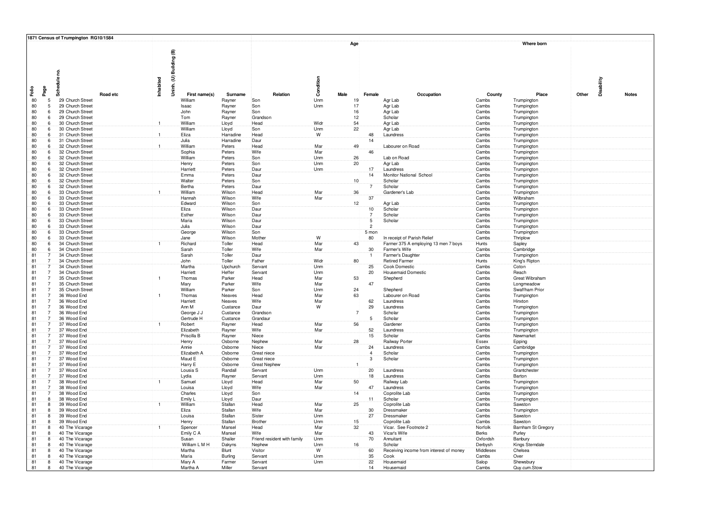|                                              |               | 1871 Census of Trumpington RG10/1584 |          |              |                         |                      |                             |            |                       |                |                                                    |                      |                            |            |              |
|----------------------------------------------|---------------|--------------------------------------|----------|--------------|-------------------------|----------------------|-----------------------------|------------|-----------------------|----------------|----------------------------------------------------|----------------------|----------------------------|------------|--------------|
|                                              | g<br>Schedule |                                      |          | Inhabited    | Uninh. (U) Building (B) |                      |                             | Condition  | Age                   |                |                                                    |                      | Where born                 | Disability |              |
| Faile<br>Page                                |               |                                      | Road etc |              | First name(s)           | Surname              | Relation                    |            | Male                  | Female         | Occupation                                         | County               | Place                      | Other      | <b>Notes</b> |
| 80<br>5 <sub>1</sub>                         |               | 29 Church Street                     |          |              | William                 | Rayner               | Son                         | Unm        | 19                    |                | Agr Lab                                            | Cambs                | Trumpington                |            |              |
| 80<br>5 <sub>1</sub>                         |               | 29 Church Street                     |          |              | Isaac                   | Rayner               | Son                         | Unm        | 17                    |                | Agr Lab                                            | Cambs                | Trumpington                |            |              |
| 80<br>6                                      |               | 29 Church Street                     |          |              | John                    | Rayner               | Son                         |            | 16                    |                | Agr Lab                                            | Cambs                | Trumpington                |            |              |
| 80<br>6<br>80<br>6.                          |               | 29 Church Street<br>30 Church Street |          |              | Tom<br>William          | Rayner               | Grandson<br>Head            | Widr       | 12 <sub>1</sub><br>54 |                | Scholar<br>Agr Lab                                 | Cambs<br>Cambs       | Trumpington                |            |              |
| 80<br>6                                      |               | 30 Church Street                     |          |              | William                 | Lloyd<br>Lloyd       | Son                         | Unm        | 22                    |                | Agr Lab                                            | Cambs                | Trumpington<br>Trumpington |            |              |
| 80<br>6                                      |               | 31 Church Street                     |          | $\mathbf{1}$ | Eliza                   | Harradine            | Head                        | W          |                       | 48             | Laundress                                          | Cambs                | Trumpington                |            |              |
| 80<br>6                                      |               | 31 Church Street                     |          |              | Julia                   | Harradine            | Daur                        |            |                       | 14             |                                                    | Cambs                | Trumpington                |            |              |
| 80<br>6                                      |               | 32 Church Street                     |          | $\mathbf{1}$ | William                 | Peters               | Head                        | Mar        | 49                    |                | Labourer on Road                                   | Cambs                | Trumpington                |            |              |
| 80<br>6                                      |               | 32 Church Street                     |          |              | Sophia                  | Peters               | Wife                        | Mar        |                       | 46             |                                                    | Cambs                | Trumpington                |            |              |
| 80<br>6<br>80<br>6                           |               | 32 Church Street<br>32 Church Street |          |              | William<br>Henry        | Peters<br>Peters     | Son<br>Son                  | Unm<br>Unm | 26<br>20              |                | Lab on Road<br>Agr Lab                             | Cambs<br>Cambs       | Trumpington<br>Trumpington |            |              |
| 80<br>6.                                     |               | 32 Church Street                     |          |              | Harriett                | Peters               | Daur                        | Unm        |                       | 17             | Laundress                                          | Cambs                | Trumpington                |            |              |
| 80<br>6                                      |               | 32 Church Street                     |          |              | Emma                    | Peters               | Daur                        |            |                       | 14             | Monitor National School                            | Cambs                | Trumpington                |            |              |
| 80<br>6.                                     |               | 32 Church Street                     |          |              | Walter                  | Peters               | Son                         |            | 10 <sup>1</sup>       |                | Scholar                                            | Cambs                | Trumpington                |            |              |
| 80<br>$6^{\circ}$                            |               | 32 Church Street                     |          |              | Bertha                  | Peters               | Daur                        |            |                       | 7              | Scholar                                            | Cambs                | Trumpington                |            |              |
| 80<br>6<br>80<br>$6^{\circ}$                 |               | 33 Church Street<br>33 Church Street |          |              | William                 | Wilson<br>Wilson     | Head<br>Wife                | Mar<br>Mar | 36                    | 37             | Gardener's Lab                                     | Cambs<br>Cambs       | Trumpington<br>Wilbraham   |            |              |
| 80<br>6                                      |               | 33 Church Street                     |          |              | Hannah<br>Edward        | Wilson               | Son                         |            | 12                    |                | Agr Lab                                            | Cambs                | Trumpington                |            |              |
| 80<br>6                                      |               | 33 Church Street                     |          |              | Eliza                   | Wilson               | Daur                        |            |                       | 10             | Scholar                                            | Cambs                | Trumpington                |            |              |
| 80<br>6                                      |               | 33 Church Street                     |          |              | Esther                  | Wilson               | Daur                        |            |                       |                | Scholar                                            | Cambs                | Trumpington                |            |              |
| 80<br>6                                      |               | 33 Church Street                     |          |              | Maria                   | Wilson               | Daur                        |            |                       | $\overline{5}$ | Scholar                                            | Cambs                | Trumpington                |            |              |
| 80<br>6.                                     |               | 33 Church Street                     |          |              | Julia                   | Wilson               | Daur                        |            |                       | $\overline{2}$ |                                                    | Cambs                | Trumpington                |            |              |
| 80<br>6.<br>80<br>6                          |               | 33 Church Street<br>33 Church Street |          |              | George<br>Jane          | Wilson<br>Wilson     | Son<br>Mother               | W          |                       | 5 mon<br>80    | In receipt of Parish Relief                        | Cambs<br>Cambs       | Trumpington<br>Thriplow    |            |              |
| 80<br>61                                     |               | 34 Church Street                     |          |              | Richard                 | Toller               | Head                        | Mar        | 43                    |                | Farmer 375 A employing 13 men 7 boys               | Hunts                | Sapley                     |            |              |
| 80<br>6                                      |               | 34 Church Street                     |          |              | Sarah                   | Toller               | Wife                        | Mar        |                       | 30             | Farmer's Wife                                      | Cambs                | Cambridge                  |            |              |
| 81                                           |               | 34 Church Street                     |          |              | Sarah                   | Toller               | Daur                        |            |                       | $\overline{1}$ | Farmer's Daughte                                   | Cambs                | Trumpington                |            |              |
| 81<br>7                                      |               | 34 Church Street                     |          |              | John                    | Toller               | Father                      | Widr       | 80                    |                | <b>Retired Farmer</b>                              | Hunts                | King's Ripton              |            |              |
| 81<br>$\overline{7}$<br>81<br>$\overline{7}$ |               | 34 Church Street<br>34 Church Street |          |              | Martha<br>Harriett      | Upchurch<br>Heffer   | Servant<br>Servant          | Unm<br>Unm |                       | 25<br>20       | Cook Domestic<br><b>Housemaid Domestic</b>         | Cambs<br>Cambs       | Coton<br>Reach             |            |              |
| 81                                           |               | 35 Church Street                     |          |              | Thomas                  | Parker               | Head                        | Mar        | 53                    |                | Shepherd                                           | Cambs                | Great Wibraham             |            |              |
| 81<br>7                                      |               | 35 Church Street                     |          |              | Mary                    | Parker               | Wife                        | Mar        |                       | 47             |                                                    | Cambs                | Longmeadow                 |            |              |
| 81                                           |               | 35 Church Street                     |          |              | William                 | Parker               | Son                         | Unm        | 24                    |                | Shepherd                                           | Cambs                | Swaffham Prio              |            |              |
| 81<br>$\overline{7}$                         |               | 36 Wood End                          |          |              | Thomas                  | Neaves               | Head                        | Mar        | 63                    |                | Labourer on Road                                   | Cambs                | Trumpington                |            |              |
| 81<br>81<br>$\overline{7}$                   |               | 36 Wood End<br>36 Wood End           |          |              | Harriett<br>Ann M       | Neaves               | Wife                        | Mar<br>W   |                       | 62             | Laundress                                          | Cambs                | Hinxton                    |            |              |
| 7<br>81                                      |               | 36 Wood End                          |          |              | George J J              | Custance<br>Custance | Daur<br>Grandson            |            |                       | 29             | Laundress<br>Scholar                               | Cambs<br>Cambs       | Trumpingtor<br>Trumpington |            |              |
| 81<br>$\overline{7}$                         |               | 36 Wood End                          |          |              | Gertrude H              | Custance             | Grandaur                    |            |                       | $\sqrt{5}$     | Scholar                                            | Cambs                | Trumpington                |            |              |
| 81                                           |               | 37 Wood End                          |          |              | Robert                  | Rayner               | Head                        | Mar        | 56                    |                | Gardener                                           | Cambs                | Trumpington                |            |              |
| 81<br>7                                      |               | 37 Wood End                          |          |              | Elizabeth               | Rayner               | Wife                        | Mar        |                       | 52             | Laundress                                          | Cambs                | Trumpington                |            |              |
| 81<br>$\overline{7}$<br>81<br>$\overline{7}$ |               | 37 Wood End                          |          |              | Priscilla B             | Rayner               | Niece                       | Mar        | 28                    | 15             | Scholar                                            | Cambs                | Newmarket                  |            |              |
| 81<br>$\overline{7}$                         |               | 37 Wood End<br>37 Wood End           |          |              | Henry<br>Annie          | Osborne<br>Osborne   | Nephew<br>Niece             | Mar        |                       | 24             | Railway Porter<br>Laundress                        | Essex<br>Cambs       | Epping<br>Cambridge        |            |              |
| 81<br>7                                      |               | 37 Wood End                          |          |              | Elizabeth A             | Osborne              | Great niece                 |            |                       | $\overline{4}$ | Scholar                                            | Cambs                | Trumpington                |            |              |
| 81<br>$\overline{7}$                         |               | 37 Wood End                          |          |              | Maud E                  | Osborne              | Great niece                 |            |                       | $\overline{3}$ | Scholar                                            | Cambs                | Trumpington                |            |              |
| 81<br>$\overline{7}$                         |               | 37 Wood End                          |          |              | Harry E                 | Osborne              | <b>Great Nephev</b>         |            |                       |                |                                                    | Cambs                | Trumpington                |            |              |
| 81                                           |               | 37 Wood End                          |          |              | Lousia <sub>S</sub>     | Randall              | Servant                     | Unm        |                       | 20             | Laundress                                          | Cambs                | Grantchester               |            |              |
| 81<br>7<br>81<br>$\overline{7}$              |               | 37 Wood End<br>38 Wood End           |          |              | Lydia<br>Samuel         | Rayner<br>Lloyd      | Servant<br>Head             | Unm<br>Mar | 50                    | 18             | Laundress<br>Railway Lab                           | Cambs<br>Cambs       | Barton<br>Trumpington      |            |              |
| 81<br>$\overline{7}$                         |               | 38 Wood End                          |          |              | Louisa                  | Lloyd                | Wife                        | Mar        |                       | 47             | Laundress                                          | Cambs                | Trumpington                |            |              |
| 81<br>$\overline{7}$                         |               | 38 Wood End                          |          |              | Charles                 | Lloyd                | Son                         |            | 14                    |                | Coprolite Lab                                      | Cambs                | Trumpington                |            |              |
| 81<br>$\mathbf{R}$                           |               | 38 Wood End                          |          |              | Emily L                 | Lloyd                | Daur                        |            |                       | 11             | Scholar                                            | Cambs                | Trumpington                |            |              |
| 81<br>8                                      |               | 39 Wood End                          |          |              | William                 | Stallan              | Head                        | Mar        | 25                    |                | Coprolite Lab                                      | Cambs                | Sawston                    |            |              |
| 81<br>8<br>81<br>8                           |               | 39 Wood End<br>39 Wood End           |          |              | Eliza<br>Louisa         | Stallan<br>Stallan   | Wife<br>Sister              | Mar<br>Unm |                       | 30<br>27       | Dressmaker<br>Dressmaker                           | Cambs<br>Cambs       | Trumpington<br>Sawston     |            |              |
| 81<br>8                                      |               | 39 Wood End                          |          |              | Henry                   | Stallan              | Brother                     | Unm        | 15                    |                | Coprolite Lab                                      | Cambs                | Sawston                    |            |              |
| 81<br>8                                      |               | 40 The Vicarage                      |          |              | Spencer                 | Mansel               | Head                        | Mar        | 32                    |                | Vicar. See Footnote 2                              | Norfolk              | Barnham St Gregory         |            |              |
| 81<br>8                                      |               | 40 The Vicarage                      |          |              | Emily C A               | Mansel               | Wife                        | Mar        |                       | 43             | Vicar's Wife                                       | Berks                | Purley                     |            |              |
| 81<br>8                                      |               | 40 The Vicarage                      |          |              | Susan                   | Shailer              | Friend resident with family | Unm        |                       | 70             | Annuitant                                          | Oxfordsh             | Banbury                    |            |              |
| 81<br>8<br>81<br>8                           |               | 40 The Vicarage<br>40 The Vicarage   |          |              | William L M H<br>Martha | Dakyns<br>Blunt      | Nephew<br>Visitor           | Unm<br>W   | 16                    | 60             | Scholar<br>Receiving income from interest of money | Derbysh<br>Middlese> | Kings Sterndale<br>Chelsea |            |              |
| 81<br>8                                      |               | 40 The Vicarage                      |          |              | Maria                   | Burling              | Servant                     | Unm        |                       | 35             | Cook                                               | Cambs                | Over                       |            |              |
| 81<br>8                                      |               | 40 The Vicarage                      |          |              | Mary A                  | Farmer               | Servant                     | Unm        |                       | 22             | Housemaid                                          | Salop                | Shewsbury                  |            |              |
| 81<br>8                                      |               | 40 The Vicarage                      |          |              | Martha A                | Miller               | Servant                     |            |                       | 14             | Housemaid                                          | Cambs                | Quy.cum.Stow               |            |              |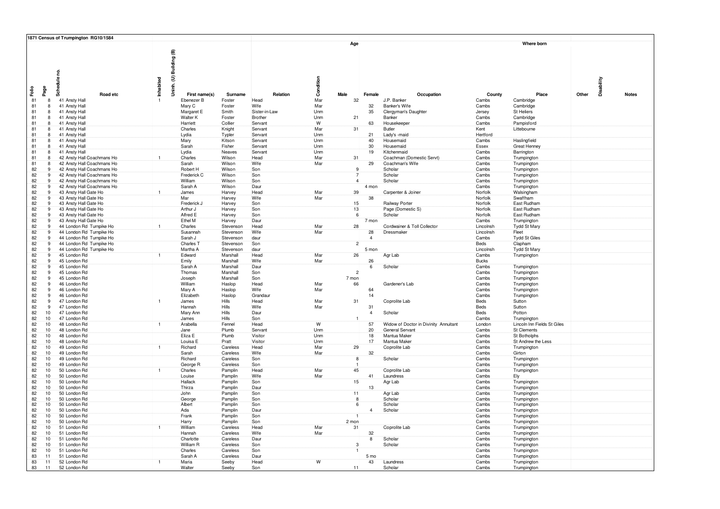|                                                |              | 1871 Census of Trumpington RG10/1584                     |              |                             |                      |                    |            |                     |                      |                                       |                    |                                   |            |              |
|------------------------------------------------|--------------|----------------------------------------------------------|--------------|-----------------------------|----------------------|--------------------|------------|---------------------|----------------------|---------------------------------------|--------------------|-----------------------------------|------------|--------------|
|                                                | Schedule no. |                                                          | Inhabited    | Uninh. (U) Building (B)     |                      |                    | Condition  | Age                 |                      |                                       |                    | Where born                        | Disability |              |
| Faile<br>Page                                  |              |                                                          |              |                             |                      |                    |            |                     |                      |                                       |                    |                                   |            |              |
| 81<br>8                                        |              | Road etc<br>41 Ansty Hall                                |              | First name(s)<br>Ebenezer B | Surname<br>Foster    | Relation<br>Head   | Mar        | Male<br>32          | Female               | Occupation<br>J.P. Banker             | County<br>Cambs    | Place<br>Cambridge                | Other      | <b>Notes</b> |
| 81<br>8                                        |              | 41 Ansty Hall                                            |              | Mary C                      | Foster               | Wife               | Mar        |                     | 32                   | Banker's Wife                         | Cambs              | Cambridge                         |            |              |
| 81<br>8                                        |              | 41 Ansty Hall                                            |              | Margaret E                  | Smith                | Sister-in-Law      | Unm        |                     | 35                   | Clergyman's Daughter                  | Jersey             | St Heliers                        |            |              |
| 81<br>8                                        |              | 41 Ansty Hall                                            |              | Walter K                    | Foster               | Brother            | Unm        | 21                  |                      | Banker                                | Cambs              | Cambridge                         |            |              |
| 81<br>8                                        |              | 41 Ansty Hall                                            |              | Harriett                    | Collier              | Servant            | W          |                     | 63                   | Housekeeper                           | Cambs              | Pampisford                        |            |              |
| 81<br>8                                        |              | 41 Ansty Hall                                            |              | Charles                     | Knight               | Servant            | Mar        | 31                  |                      | Butler                                | Kent               | Littebourne                       |            |              |
| 81<br>8<br>81<br>$\overline{\mathbf{8}}$       |              | 41 Ansty Hall<br>41 Ansty Hall                           |              | Lydia<br>Mary               | Typler<br>Kitson     | Servant<br>Servant | Unm<br>Unm |                     | 21<br>40             | Lady's -maid<br>Housemaid             | Hertford<br>Cambs  | Haslingfield                      |            |              |
| 81<br>8                                        |              | 41 Ansty Hall                                            |              | Sarah                       | Fisher               | Servant            | Unm        |                     | 30                   | Housemaid                             | Essex              | <b>Great Henney</b>               |            |              |
| 81<br>8                                        |              | 41 Ansty Hall                                            |              | Lydia                       | Neaves               | Servant            | Unm        |                     | 19                   | Kitchenmaid                           | Cambs              | Barrington                        |            |              |
| 81<br>8                                        |              | 42 Ansty Hall Coachmans Ho                               |              | Charles                     | Wilson               | Head               | Mar        | 31                  |                      | Coachman (Domestic Servt)             | Cambs              | Trumpington                       |            |              |
| 81<br>8                                        |              | 42 Ansty Hall Coachmans Ho                               |              | Sarah                       | Wilson               | Wife               | Mar        |                     | 29                   | Coachman's Wife                       | Cambs              | Trumpington                       |            |              |
| 82<br>9                                        |              | 42 Ansty Hall Coachmans Ho                               |              | Robert H                    | Wilson               | Son                |            | 9<br>$\overline{7}$ |                      | Scholar                               | Cambs              | Trumpington                       |            |              |
| 82<br>9<br>82<br>-9                            |              | 42 Ansty Hall Coachmans Ho                               |              | Frederick C<br>William      | Wilson<br>Wilson     | Son                |            | $\overline{4}$      |                      | Scholar<br>Scholar                    | Cambs              | Trumpington                       |            |              |
| 82<br>9                                        |              | 42 Ansty Hall Coachmans Ho<br>42 Ansty Hall Coachmans Ho |              | Sarah A                     | Wilson               | Son<br>Daur        |            |                     | 4 mon                |                                       | Cambs<br>Cambs     | Trumpington<br>Trumpington        |            |              |
| 82<br>9                                        |              | 43 Ansty Hall Gate Ho                                    |              | James                       | Harvey               | Head               | Mar        | 39                  |                      | Carpenter & Joiner                    | Norfolk            | Walsingham                        |            |              |
| 82<br>9                                        |              | 43 Ansty Hall Gate Ho                                    |              | Mar                         | Harvey               | Wife               | Mar        |                     | 38                   |                                       | Norfolk            | Swaffham                          |            |              |
| 82<br>-9                                       |              | 43 Ansty Hall Gate Ho                                    |              | Frederick J                 | Harvey               | Son                |            | 15                  |                      | Railway Porter                        | Norfolk            | East Rudham                       |            |              |
| 82<br>9                                        |              | 43 Ansty Hall Gate Ho                                    |              | Arthur J                    | Harvey               | Son                |            | 13 <sub>1</sub>     |                      | Page (Domestic S)                     | Norfolk            | East Rudham                       |            |              |
| 82<br>9<br>٠q                                  |              | 43 Ansty Hall Gate Ho                                    |              | Alfred E                    | Harvey               | Son                |            | $\boldsymbol{6}$    |                      | Scholar                               | Norfolk            | East Rudham                       |            |              |
| 82<br>82<br>9                                  |              | 43 Ansty Hall Gate Ho<br>44 London Rd Turnpike Ho        |              | Ethel M<br>Charles          | Harvey<br>Stevenson  | Daur<br>Head       | Mar        | 28                  | 7 mon                | Cordwainer & Toll Collector           | Cambs<br>Lincolnsh | Trumpington<br>Tydd St Mary       |            |              |
| 82<br>9                                        |              | 44 London Rd Turnpike Ho                                 |              | Susannah                    | Stevenson            | Wife               | Mar        |                     | 28                   | Dressmaker                            | Lincolnsh          | Fleet                             |            |              |
| 82<br>9                                        |              | 44 London Rd Turnpike Ho                                 |              | Sarah J                     | Stevenson            | daur               |            |                     | $\overline{4}$       |                                       | Cambs              | <b>Tydd St Giles</b>              |            |              |
| 82<br>9                                        |              | 44 London Rd Turnpike Ho                                 |              | Charles T                   | Stevenson            | Son                |            | $\overline{2}$      |                      |                                       | Beds               | Clapham                           |            |              |
| 82<br>9                                        |              | 44 London Rd Turnpike Ho                                 |              | Martha A                    | Stevenson            | daur               |            |                     | 5 mon                |                                       | Lincolnsh          | Tydd St Mary                      |            |              |
| 82<br>9                                        |              | 45 London Rd                                             |              | Edward                      | Marshall             | Head               | Mar        | 26                  |                      | Agr Lab                               | Cambs              | Trumpington                       |            |              |
| 82<br>9<br>82<br>9                             |              | 45 London Rd                                             |              | Emily                       | Marshall<br>Marshall | Wife               | Mar        |                     | 26<br>6              | Scholar                               | <b>Bucks</b>       |                                   |            |              |
| 82<br>9                                        |              | 45 London Rd<br>45 London Rd                             |              | Sarah A<br>Thomas           | Marshall             | Daur<br>Son        |            | $\overline{2}$      |                      |                                       | Cambs<br>Cambs     | Trumpington<br>Trumpington        |            |              |
| 82<br>9                                        |              | 45 London Rd                                             |              | Joseph                      | Marshall             | Son                |            | 7 mon               |                      |                                       | Cambs              | Trumpington                       |            |              |
| 82<br>9                                        |              | 46 London Rd                                             |              | William                     | Haslop               | Head               | Mar        | 66                  |                      | Gardener's Lab                        | Cambs              | Trumpington                       |            |              |
| 82<br>9                                        |              | 46 London Rd                                             |              | Mary A                      | Haslop               | Wife               | Mar        |                     | 64                   |                                       | Cambs              | Trumpington                       |            |              |
| 82<br>9                                        |              | 46 London Rd                                             |              | Elizabeth                   | Haslop               | Grandau            |            |                     | 14                   |                                       | Cambs              | Trumpington                       |            |              |
| 82<br>9                                        |              | 47 London Rd                                             |              | James                       | Hills                | Head               | Mar        | 31                  |                      | Coprolite Lab                         | Beds               | Sutton                            |            |              |
| 82<br>9<br>82<br>10 <sup>1</sup>               |              | 47 London Rd<br>47 London Rd                             |              | Hannah<br>Mary Ann          | Hills<br>Hills       | Wife<br>Daur       | Mar        |                     | 31<br>$\overline{4}$ | Scholar                               | Beds<br>Beds       | Sutton<br>Potton                  |            |              |
| 82<br>10 <sup>1</sup>                          |              | 47 London Rd                                             |              | James                       | Hills                | Son                |            |                     |                      |                                       | Cambs              | Trumpington                       |            |              |
| 82<br>10 <sup>°</sup>                          |              | 48 London Rd                                             |              | Arabella                    | Fennel               | Head               | W          |                     | 57                   | Widow of Doctor in Divinity Annuitant | London             | Lincoln Inn Fields St Giles       |            |              |
| 82<br>10 <sup>1</sup>                          |              | 48 London Rd                                             |              | Jane                        | Plumb                | Servant            | Unm        |                     | 20                   | General Servant                       | Cambs              | <b>St Clements</b>                |            |              |
| 82<br>10 <sup>1</sup>                          |              | 48 London Rd                                             |              | Eliza E                     | Plumb                | Visitor            | Unm        |                     | 18                   | Mantua Maker                          | Cambs              | St Botholphs                      |            |              |
| 82<br>10<br>82<br>10 <sup>1</sup>              |              | 48 London Rd<br>49 London Rd                             | $\mathbf{1}$ | Louisa E<br>Richard         | Pratt<br>Careless    | Visitor<br>Head    | Unm<br>Mar | 29                  | 17                   | Mantua Maker<br>Coprolite Lab         | Cambs<br>Cambs     | St Andrew the Less<br>Trumpington |            |              |
| 82<br>10                                       |              | 49 London Rd                                             |              | Sarah                       | Careless             | Wife               | Mar        |                     | 32                   |                                       | Cambs              | Girton                            |            |              |
| 82<br>10 <sup>°</sup>                          |              | 49 London Rd                                             |              | Richard                     | Careless             | Son                |            | $\overline{8}$      |                      | Scholar                               | Cambs              | Trumpington                       |            |              |
| 82<br>10                                       |              | 49 London Rd                                             |              | George R                    | Careless             | Son                |            |                     |                      |                                       | Cambs              | Trumpington                       |            |              |
| 82<br>10 <sup>1</sup>                          |              | 50 London Rd                                             |              | Charles                     | Pamplin              | Head               | Mar        | 45                  |                      | Coprolite Lab                         | Cambs              | Trumpington                       |            |              |
| 82<br>10 <sub>1</sub>                          |              | 50 London Rd                                             |              | Louise                      | Pamplin              | Wife               | Mar        |                     | 41                   | Laundress                             | Cambs              | Ely                               |            |              |
| 82<br>10<br>82<br>10 <sup>1</sup>              |              | 50 London Rd<br>50 London Rd                             |              | Hallack<br>Thirza           | Pamplin<br>Pamplin   | Son<br>Daur        |            | 15                  |                      | Agr Lab                               | Cambs<br>Cambs     | Trumpington<br>Trumpington        |            |              |
| 82<br>10 <sup>°</sup>                          |              | 50 London Rd                                             |              | John                        | Pamplin              | Son                |            | $\overline{11}$     | 13                   | Agr Lab                               | Cambs              | Trumpington                       |            |              |
| 82<br>10 <sup>2</sup>                          |              | 50 London Rd                                             |              | George                      | Pamplin              | Son                |            | 8                   |                      | Scholar                               | Cambs              | Trumpington                       |            |              |
| 82<br>10 <sup>1</sup>                          |              | 50 London Rd                                             |              | Albert                      | Pamplin              | Son                |            | 6                   |                      | Scholar                               | Cambs              | Trumpington                       |            |              |
| 82<br>10                                       |              | 50 London Rd                                             |              | Ada                         | Pamplin              | Daur               |            |                     | $\overline{4}$       | Scholar                               | Cambs              | Trumpington                       |            |              |
| 82<br>10 <sup>°</sup>                          |              | 50 London Rd                                             |              | Frank                       | Pamplin              | Son                |            |                     |                      |                                       | Cambs              | Trumpington                       |            |              |
| 82<br>10 <sup>1</sup><br>82<br>10 <sup>1</sup> |              | 50 London Rd<br>51 London Rd                             |              | Harry<br>William            | Pamplin<br>Careless  | Son<br>Head        | Mar        | 2 mon<br>31         |                      | Coprolite Lab                         | Cambs<br>Cambs     | Trumpington<br>Trumpington        |            |              |
| 82<br>10 <sup>1</sup>                          |              | 51 London Rd                                             |              | Hannah                      | Careless             | Wife               | Mar        |                     | 32                   |                                       | Cambs              | Trumpington                       |            |              |
| 82<br>10 <sup>1</sup>                          |              | 51 London Rd                                             |              | Charlotte                   | Careless             | Daur               |            |                     | $\overline{8}$       | Scholar                               | Cambs              | Trumpington                       |            |              |
| 82<br>10 <sup>1</sup>                          |              | 51 London Rd                                             |              | William R                   | Careless             | Son                |            |                     |                      | Scholar                               | Cambs              | Trumpington                       |            |              |
| 82<br>10                                       |              | 51 London Rd                                             |              | Charles                     | Careless             | Son                |            |                     |                      |                                       | Cambs              | Trumpington                       |            |              |
| 83<br>11                                       |              | 51 London Rd                                             |              | Sarah A                     | Careless             | Daur               | W          |                     | 5 mo<br>43           |                                       | Cambs              | Trumpington                       |            |              |
| 83<br>11<br>83<br>11                           |              | 52 London Rd<br>52 London Rd                             |              | Maria<br>Walter             | Seeby<br>Seeby       | Head<br>Son        |            | 11                  |                      | Laundress<br>Scholar                  | Cambs<br>Cambs     | Trumpington<br>Trumpington        |            |              |
|                                                |              |                                                          |              |                             |                      |                    |            |                     |                      |                                       |                    |                                   |            |              |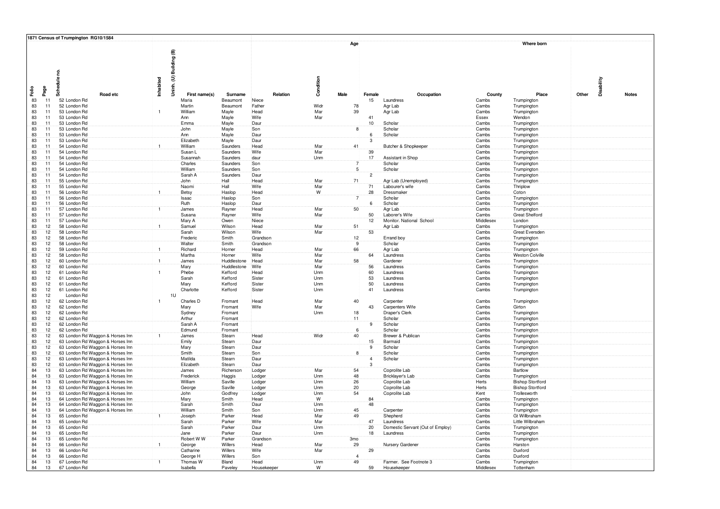|          |                                    | 1871 Census of Trumpington RG10/1584                                 |              |                     |                      |                  |            |                 |                         |                                   |                |                                        |            |              |
|----------|------------------------------------|----------------------------------------------------------------------|--------------|---------------------|----------------------|------------------|------------|-----------------|-------------------------|-----------------------------------|----------------|----------------------------------------|------------|--------------|
|          |                                    |                                                                      |              |                     |                      |                  |            | Age             |                         |                                   |                | Where born                             |            |              |
|          |                                    |                                                                      |              |                     |                      |                  |            |                 |                         |                                   |                |                                        |            |              |
|          |                                    |                                                                      |              | Building (B)        |                      |                  |            |                 |                         |                                   |                |                                        |            |              |
|          |                                    |                                                                      |              |                     |                      |                  |            |                 |                         |                                   |                |                                        |            |              |
|          |                                    |                                                                      |              |                     |                      |                  |            |                 |                         |                                   |                |                                        |            |              |
|          |                                    | Schedule no.                                                         |              |                     |                      |                  |            |                 |                         |                                   |                |                                        |            |              |
|          |                                    |                                                                      | Inhabited    | Uninh. (U) I        |                      |                  | Condition  |                 |                         |                                   |                |                                        | Disability |              |
|          |                                    |                                                                      |              |                     |                      |                  |            |                 |                         |                                   |                |                                        |            |              |
| Failo    | Page                               | Road etc                                                             |              | First name(s)       | Surname              | Relation         |            | Male            | Female                  | Occupation                        | County         | Place                                  | Other      | <b>Notes</b> |
| 83       | 11                                 | 52 London Rd                                                         |              | Maria               | Beaumont             | Niece            |            |                 | 15                      | Laundress                         | Cambs          | Trumpington                            |            |              |
| 83       | 11                                 | 52 London Rd                                                         |              | Martin              | Beaumont             | Father           | Widr       | 78              |                         | Agr Lab                           | Cambs          | Trumpington                            |            |              |
| 83       | 11                                 | 53 London Rd                                                         | $\mathbf{1}$ | William             | Mayle                | Head             | Mar        | 39              |                         | Agr Lab                           | Cambs          | Trumpington                            |            |              |
| 83       | 11                                 | 53 London Rd                                                         |              | Ann                 | Mayle                | Wife             | Mar        |                 | 41                      |                                   | Essex          | Wendon                                 |            |              |
| 83       | 11                                 | 53 London Rd                                                         |              | Emma                | Mayle                | Daur             |            |                 | 10                      | Scholar                           | Cambs          | Trumpington                            |            |              |
| 83       | 11                                 | 53 London Rd                                                         |              | John                | Mayle                | Son              |            | 8               |                         | Scholar                           | Cambs          | Trumpington                            |            |              |
| 83       | 11                                 | 53 London Rd                                                         |              | Ann                 | Mayle                | Daur             |            |                 | 6                       | Scholar                           | Cambs          | Trumpington                            |            |              |
| 83       | 11                                 | 53 London Rd                                                         |              | Elizabeth           | Mayle                | Daur             |            |                 | $\overline{\mathbf{3}}$ |                                   | Cambs          | Trumpington                            |            |              |
| 83<br>83 | 11<br>11 <sup>2</sup>              | 54 London Rd<br>54 London Rd                                         | $\mathbf{1}$ | William<br>Susan L  | Saunders             | Head<br>Wife     | Mar<br>Mar | 41              |                         | Butcher & Shopkeeper              | Cambs          | Trumpington                            |            |              |
| 83       | 11                                 | 54 London Rd                                                         |              | Susannah            | Saunders<br>Saunders | daur             | Unm        |                 | 39<br>17                | Assistant in Shop                 | Cambs<br>Cambs | Trumpington<br>Trumpington             |            |              |
| 83       | 11 <sup>2</sup>                    | 54 London Rd                                                         |              | Charles             | Saunders             | Son              |            |                 |                         | Scholar                           | Cambs          | Trumpington                            |            |              |
| 83       | 11 <sup>2</sup>                    | 54 London Rd                                                         |              | William             | Saunders             | Son              |            | 5 <sub>1</sub>  |                         | Scholar                           | Cambs          | Trumpington                            |            |              |
| 83       | 11.                                | 54 London Rd                                                         |              | Sarah A             | Saunders             | Daur             |            |                 | $\overline{2}$          |                                   | Cambs          | Trumpington                            |            |              |
| 83       | 11                                 | 55 London Rd                                                         |              | John                | Hall                 | Head             | Mar        | 71              |                         | Agr Lab (Unemployed)              | Cambs          | Trumpington                            |            |              |
| 83       | 11                                 | 55 London Rd                                                         |              | Naomi               | Hall                 | Wife             | Mar        |                 | 71                      | Labourer's wife                   | Cambs          | Thriplow                               |            |              |
| 83       | 11                                 | 56 London Rd                                                         | $\mathbf{1}$ | Betsy               | Haslop               | Head             | W          |                 | 28                      | Dressmaker                        | Cambs          | Coton                                  |            |              |
| 83       | 11                                 | 56 London Rd                                                         |              | Isaac               | Haslop               | Son              |            | $\overline{7}$  |                         | Scholar                           | Cambs          | Trumpington                            |            |              |
| 83       | 11                                 | 56 London Rd                                                         |              | Ruth                | Haslop               | Daur             |            |                 | 6                       | Scholar                           | Cambs          | Trumpington                            |            |              |
| 83       | 11                                 | 57 London Rd                                                         |              | James               | Rayner               | Head             | Mar        | 50              |                         | Agr Lab                           | Cambs          | Trumpington                            |            |              |
| 83       | 11                                 | 57 London Rd                                                         |              | Susana              | Rayner               | Wife             | Mar        |                 | 50                      | Laborer's Wife                    | Cambs          | <b>Great Shelford</b>                  |            |              |
| 83       | 11                                 | 57 London Rd                                                         |              | Mary A              | Owen                 | Niece            |            |                 | 12                      | Monitor. National School          | Middlesex      | London                                 |            |              |
| 83       | 12 <sup>2</sup>                    | 58 London Rd                                                         | $\mathbf{1}$ | Samuel              | Wilson               | Head             | Mar        | 51              |                         | Agr Lab                           | Cambs          | Trumpington                            |            |              |
| 83<br>83 | 12 <sup>2</sup><br>12 <sup>2</sup> | 58 London Rd<br>58 London Rd                                         |              | Sarah<br>Frederic   | Wilson<br>Smith      | Wife<br>Grandson | Mar        |                 | 53                      |                                   | Cambs          | <b>Great Eversden</b>                  |            |              |
| 83       | $12^{\circ}$                       | 58 London Rd                                                         |              | Walter              | Smith                | Grandson         |            | 12<br>9         |                         | Errand boy<br>Scholar             | Cambs<br>Cambs | Trumpington<br>Trumpington             |            |              |
| 83       | $12^{3}$                           | 59 London Rd                                                         | $\mathbf{1}$ | Richard             | Horner               | Head             | Mar        | 66              |                         | Agr Lab                           | Cambs          | Trumpington                            |            |              |
| 83       | $12^{\circ}$                       | 58 London Rd                                                         |              | Martha              | Horner               | Wife             | Mar        |                 | 64                      | Laundress                         | Cambs          | <b>Weston Colville</b>                 |            |              |
| 83       | 12 <sup>2</sup>                    | 60 London Rd                                                         | $\mathbf{1}$ | James               | Huddlestone          | Head             | Mar        | 58              |                         | Gardener                          | Cambs          | Trumpington                            |            |              |
| 83       | $12^{\circ}$                       | 60 London Rd                                                         |              | Mary                | Huddlestone          | Wife             | Mar        |                 | 56                      | Laundress                         | Cambs          | Trumpington                            |            |              |
| 83       | 12 <sup>2</sup>                    | 61 London Rd                                                         | $\mathbf{1}$ | Phebe               | Kefford              | Head             | Unm        |                 | 60                      | Laundress                         | Cambs          | Trumpington                            |            |              |
| 83       | 12 <sub>2</sub>                    | 61 London Rd                                                         |              | Sarah               | Kefford              | Sister           | Unm        |                 | 53                      | Laundress                         | Cambs          | Trumpington                            |            |              |
| 83       | 12 <sub>1</sub>                    | 61 London Rd                                                         |              | Mary                | Kefford              | Sister           | Unm        |                 | 50                      | Laundress                         | Cambs          | Trumpington                            |            |              |
| 83       | 12                                 | 61 London Rd                                                         |              | Charlotte           | Kefford              | Sister           | Unm        |                 | 41                      | Laundress                         | Cambs          | Trumpington                            |            |              |
| 83       | 12 <sup>2</sup>                    | London Rd                                                            |              | 1U                  |                      |                  |            |                 |                         |                                   |                |                                        |            |              |
| 83       | 12 <sup>2</sup>                    | 62 London Rd                                                         |              | Charles D           | Fromant              | Head             | Mar        | 40              |                         | Carpenter                         | Cambs          | Trumpington                            |            |              |
| 83<br>83 | 12 <sup>2</sup><br>12 <sup>°</sup> | 62 London Rd<br>62 London Rd                                         |              | Mary<br>Sydney      | Fromant<br>Fromant   | Wife             | Mar<br>Unm | 18              | 43                      | Carpenters Wife<br>Draper's Clerk | Cambs<br>Cambs | Girton<br>Trumpington                  |            |              |
| 83       | 12 <sup>3</sup>                    | 62 London Rd                                                         |              | Arthur              | Fromant              |                  |            | 11              |                         | Scholar                           | Cambs          | Trumpington                            |            |              |
| 83       | 12                                 | 62 London Rd                                                         |              | Sarah A             | Fromant              |                  |            |                 | $\overline{9}$          | Scholar                           | Cambs          | Trumpington                            |            |              |
| 83       | 12 <sub>1</sub>                    | 62 London Rd                                                         |              | Edmund              | Fromant              |                  |            | 6               |                         | Scholar                           | Cambs          | Trumpington                            |            |              |
| 83       | 12 <sub>1</sub>                    | 63 London Rd Waggon & Horses Inn                                     |              | James               | Stearn               | Head             | Widr       | 40              |                         | Brewer & Publicar                 | Cambs          | Trumpington                            |            |              |
| 83       | 12 <sub>1</sub>                    | 63 London Rd Waggon & Horses Inn                                     |              | Emily               | Stearn               | Daur             |            |                 | 15                      | Barmaid                           | Cambs          | Trumpington                            |            |              |
| 83       | 12 <sub>1</sub>                    | 63 London Rd Waggon & Horses Inn                                     |              | Mary                | Stearn               | Daur             |            |                 | 9                       | Scholar                           | Cambs          | Trumpington                            |            |              |
| 83       | 12 <sup>2</sup>                    | 63 London Rd Waggon & Horses Inn                                     |              | Smith               | Stearn               | Son              |            | 8               |                         | Scholar                           | Cambs          | Trumpington                            |            |              |
| 83       | 12 <sup>°</sup>                    | 63 London Rd Waggon & Horses Inn                                     |              | Matilda             | Stearn               | Daur             |            |                 | $\overline{4}$          | Scholar                           | Cambs          | Trumpington                            |            |              |
| 83       | 12 <sup>2</sup>                    | 63 London Rd Waggon & Horses Inn                                     |              | Elizabeth           | Stearn               | Daur             |            |                 | 3                       |                                   | Cambs          | Trumpington                            |            |              |
| 84<br>84 | 13<br>13                           | 63 London Rd Waggon & Horses Inn                                     |              | James<br>Frederick  | Richerson            | Lodger           | Mar<br>Unm | 54<br>48        |                         | Coprolite Lab<br>Bricklayer's Lab | Cambs          | Bartlow                                |            |              |
| 84       | 13                                 | 63 London Rd Waggon & Horses Inn<br>63 London Rd Waggon & Horses Inn |              | William             | Haggis<br>Saville    | Lodger<br>Lodger | Unm        | 26              |                         | Coprolite Lab                     | Cambs<br>Herts | Trumpington<br><b>Bishop Stortford</b> |            |              |
| 84       | 13 <sup>3</sup>                    | 63 London Rd Waggon & Horses Inn                                     |              | George              | Saville              | Lodger           | Unm        | 20 <sup>2</sup> |                         | Coprolite Lab                     | Herts          | <b>Bishop Stortford</b>                |            |              |
| 84       | 13                                 | 63 London Rd Waggon & Horses Inn                                     |              | John                | Godfrey              | Lodger           | Unm        | 54              |                         | Coprolite Lab                     | Kent           | Trollesworth                           |            |              |
| 84       | 13 <sup>2</sup>                    | 64 London Rd Waggon & Horses Inn                                     |              | Mary                | Smith                | Head             | W          |                 | 84                      |                                   | Cambs          | Trumpington                            |            |              |
| 84       | 13                                 | 64 London Rd Waggon & Horses Inn                                     |              | Sarah               | Smith                | Daur             | Unm        |                 | 48                      |                                   | Cambs          | Trumpington                            |            |              |
| 84       | 13                                 | 64 London Rd Waggon & Horses Inn                                     |              | William             | Smith                | Son              | Unm        | 45              |                         | Carpenter                         | Cambs          | Trumpington                            |            |              |
| 84       | 13                                 | 65 London Rd                                                         |              | Joseph              | Parker               | Head             | Mar        | 49              |                         | Shepherd                          | Cambs          | Gt Willbraham                          |            |              |
| 84       | 13                                 | 65 London Rd                                                         |              | Sarah               | Parker               | Wife             | Mar        |                 | 47                      | Laundress                         | Cambs          | Little Wilbraham                       |            |              |
| 84       | 13 <sup>2</sup>                    | 65 London Rd                                                         |              | Sarah               | Parker               | Daur             | Unm        |                 | 20                      | Domestic Servant (Out of Employ)  | Cambs          | Trumpington                            |            |              |
| 84       | 13 <sup>1</sup>                    | 65 London Rd                                                         |              | Jane                | Parker               | Daur             | Unm        | 3 <sub>mo</sub> | 18                      | Laundress                         | Cambs          | Trumpington                            |            |              |
| 84<br>84 | 13<br>13 <sup>2</sup>              | 65 London Rd<br>66 London Rd                                         |              | Robert W W          | Parker<br>Willers    | Grandson<br>Head | Mar        |                 |                         |                                   | Cambs<br>Cambs | Trumpington<br>Harston                 |            |              |
| 84       | 13                                 | 66 London Rd                                                         |              | George<br>Catharine | Willers              | Wife             | Mar        | 29              | 29                      | Nursery Gardener                  | Cambs          | Duxford                                |            |              |
| 84       | 13 <sup>2</sup>                    | 66 London Rd                                                         |              | George H            | Willers              | Son              |            | $\overline{4}$  |                         |                                   | Cambs          | Duxford                                |            |              |
| 84       | 13                                 | 67 London Rd                                                         | Ŧ            | Thomas W            | Bland                | Head             | Unm        | 49              |                         | Farmer. See Footnote 3            | Cambs          | Trumpington                            |            |              |
| 84       | 13 <sup>2</sup>                    | 67 London Rd                                                         |              | Isabella            | Paveley              | Housekeepe       | W          |                 | 59                      | Housekeeper                       | Middlesex      | Tottenham                              |            |              |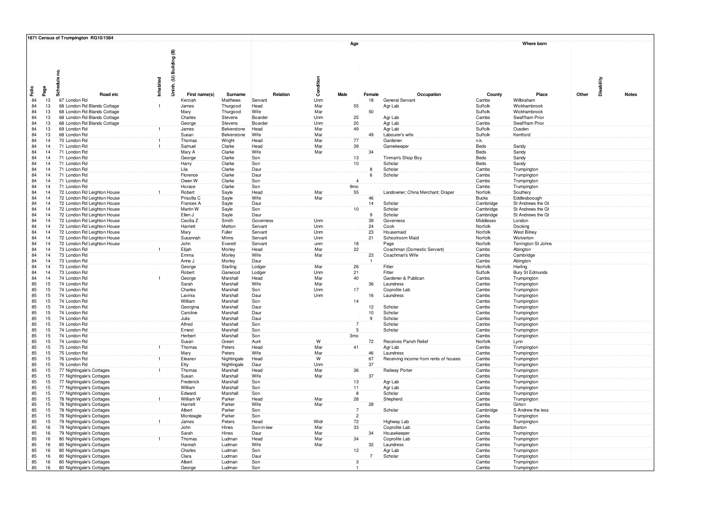|          |                                    | 1871 Census of Trumpington RG10/1584                       |                |                          |                            |                    |            |                               |                |                                       |                    |                                   |            |              |
|----------|------------------------------------|------------------------------------------------------------|----------------|--------------------------|----------------------------|--------------------|------------|-------------------------------|----------------|---------------------------------------|--------------------|-----------------------------------|------------|--------------|
|          |                                    | 2                                                          |                | Uninh. (U) Building (B)  |                            |                    |            | Age                           |                |                                       |                    | Where born                        |            |              |
| Faile    | Page                               | Schedule                                                   | Inhabited      |                          |                            |                    | Condition  |                               |                |                                       |                    |                                   | Disability |              |
|          |                                    | Road etc                                                   |                | First name(s)            | Surname                    | Relation           |            | Male                          | Female         | Occupation                            | County             | Place                             | Other      | <b>Notes</b> |
| 84<br>84 | 13<br>13                           | 67 London Rd<br>68 London Rd Blands Cottage                | $\overline{1}$ | Kerziah<br>James         | Matthews<br>Thurgood       | Servant<br>Head    | Unm<br>Mar | 55                            | 18             | General Servant<br>Agr Lab            | Cambs<br>Suffolk   | Willbraham<br>Wickhambrook        |            |              |
| 84       | 13                                 | 68 London Rd Blands Cottage                                |                | Mary                     | Thurgood                   | Wife               | Mar        |                               | 50             |                                       | Suffolk            | Wickhambrook                      |            |              |
| 84       | 13                                 | 68 London Rd Blands Cottage                                |                | Charles                  | Stevens                    | Boarder            | Unm        | 25                            |                | Agr Lab                               | Cambs              | Swaffham Prior                    |            |              |
| 84       | 13                                 | 68 London Rd Blands Cottage                                |                | George                   | Stevens                    | Boarder            | Unm        | 20                            |                | Agr Lab                               | Cambs              | Swaffham Prior                    |            |              |
| 84       | 13                                 | 69 London Rd                                               | Ŧ              | James                    | Belverstone<br>Belverstone | Head<br>Wife       | Mar        | 49                            |                | Agr Lab                               | Suffolk            | Ousden                            |            |              |
| 84<br>84 | 13<br>14                           | 68 London Rd<br>70 London Rd                               | Ŧ              | Susan<br>Thomas          | Wright                     | Head               | Mar<br>Mar | 77                            | 49             | Labourer's wife<br>Gardener           | Suffolk<br>n.k.    | Kentford                          |            |              |
| 84       | 14                                 | 71 London Rd                                               | $\overline{1}$ | Samuel                   | Clarke                     | Head               | Mar        | 39                            |                | Gamekeeper                            | Beds               | Sandy                             |            |              |
| 84       | 14 <sup>2</sup>                    | 71 London Rd                                               |                | Mary A                   | Clarke                     | Wife               | Mar        |                               | 34             |                                       | <b>Beds</b>        | Sandy                             |            |              |
| 84       | 14 <sub>1</sub>                    | 71 London Rd                                               |                | George                   | Clarke                     | Son                |            | $\frac{13}{10}$               |                | Tinman's Shop Boy                     | Beds               | Sandy                             |            |              |
| 84<br>84 | 14 <sub>1</sub><br>14 <sup>1</sup> | 71 London Rd<br>71 London Rd                               |                | Harry<br>Lila            | Clarke<br>Clarke           | Son<br>Daur        |            |                               | 8              | Scholar<br>Scholar                    | Beds<br>Cambs      | Sandy<br>Trumpington              |            |              |
| 84       | 14                                 | 71 London Rd                                               |                | Florence                 | Clarke                     | Daur               |            |                               | 6              | Scholar                               | Cambs              | Trumpington                       |            |              |
| 84       | 14 <sub>1</sub>                    | 71 London Rd                                               |                | Owen W                   | Clarke                     | Son                |            | $\overline{4}$                |                |                                       | Cambs              | Trumpington                       |            |              |
| 84       | 14                                 | 71 London Rd                                               |                | Horace                   | Clarke                     | Son                |            | 9 <sub>mo</sub>               |                |                                       | Cambs              | Trumpington                       |            |              |
| 84       | 14                                 | 72 London Rd Leighton House                                |                | Robert                   | Sayle                      | Head<br>Wife       | Mar<br>Mar | 55                            | 46             | Landowner; China Merchant; Draper     | Norfolk            | Southery                          |            |              |
| 84<br>84 | 14<br>14                           | 72 London Rd Leighton House<br>72 London Rd Leighton House |                | Priscilla C<br>Frances A | Sayle<br>Sayle             | Daur               |            |                               | 14             | Scholar                               | Bucks<br>Cambridge | Eddlesboough<br>St Andrews the Gt |            |              |
| 84       | 14                                 | 72 London Rd Leighton House                                |                | Martin W                 | Sayle                      | Son                |            | 10 <sup>1</sup>               |                | Scholar                               | Cambridge          | St Andrews the Gt                 |            |              |
| 84       | 14                                 | 72 London Rd Leighton House                                |                | Ellen J                  | Sayle                      | Daur               |            |                               | $\mathbf{Q}$   | Scholar                               | Cambridge          | St Andrews the Gt                 |            |              |
| 84       | 14                                 | 72 London Rd Leighton House                                |                | Cecilia Z                | Smith                      | Governess          | Unm        |                               | 39             | Governess                             | Middlesex          | London                            |            |              |
| 84<br>84 | 14<br>14 <sup>°</sup>              | 72 London Rd Leighton House                                |                | Harriett                 | Metton<br>Fuller           | Servant<br>Servant | Unm<br>Unm |                               | 24<br>23       | Cook<br>Housemaid                     | Norfolk            | Docking                           |            |              |
| 84       | 14                                 | 72 London Rd Leighton House<br>72 London Rd Leighton House |                | Mary<br>Susannah         | <b>Minns</b>               | Servant            | Unm        |                               | 21             | Schoolroom Maid                       | Norfolk<br>Norfolk | <b>West Bilney</b><br>Wolverton   |            |              |
| 84       | 14                                 | 72 London Rd Leighton House                                |                | John                     | Everett                    | Servant            | unm        | 18                            |                | Page                                  | Norfolk            | Terrington St Johns               |            |              |
| 84       | 14 <sup>1</sup>                    | 73 London Rd                                               |                | Elijah                   | Morley                     | Head               | Mar        | 22 <sup>2</sup>               |                | Coachman (Domestic Servant)           | Cambs              | Abington                          |            |              |
| 84       | 14 <sup>2</sup>                    | 73 London Rd                                               |                | Emma                     | Morley                     | Wife               | Mar        |                               | 23             | Coachman's Wife                       | Cambs              | Cambridge                         |            |              |
| 84<br>84 | 14 <sub>1</sub><br>14              | 73 London Rd<br>73 London Rd                               |                | Anne J<br>George         | Morley<br>Starling         | Daur<br>Lodger     | Mar        | 26                            | $\overline{1}$ | Fitter                                | Cambs<br>Norfolk   | Abington<br>Harling               |            |              |
| 84       | 14 <sub>1</sub>                    | 73 London Rd                                               |                | Robert                   | Garwood                    | Lodger             | Unm        | 21                            |                | Fitter                                | Suffolk            | Bury St Edmunds                   |            |              |
| 84       | 14 <sup>1</sup>                    | 74 London Rd                                               |                | George                   | Marshall                   | Head               | Mar        | 40                            |                | Gardener & Publicar                   | Cambs              | Trumpington                       |            |              |
| 85       | 15                                 | 74 London Rd                                               |                | Sarah                    | Marshall                   | Wife               | Mar        |                               | 36             | Laundress                             | Cambs              | Trumpington                       |            |              |
| 85       | 15 <sub>1</sub>                    | 74 London Rd                                               |                | Charles                  | Marshall                   | Son                | Unm        | 17                            |                | Coprolite Lab                         | Cambs              | Trumpington                       |            |              |
| 85<br>85 | 15 <sub>1</sub><br>15 <sup>2</sup> | 74 London Rd<br>74 London Rd                               |                | Lavinia<br>William       | Marshall<br>Marshall       | Daur<br>Son        | Unm        | 14                            | 16             | Laundress                             | Cambs<br>Cambs     | Trumpington<br>Trumpington        |            |              |
| 85       | 15 <sup>2</sup>                    | 74 London Rd                                               |                | Georgina                 | Marshall                   | Daur               |            |                               | 12             | Scholar                               | Cambs              | Trumpington                       |            |              |
| 85       | 15                                 | 74 London Rd                                               |                | Caroline                 | Marshall                   | Daur               |            |                               | 10             | Scholar                               | Cambs              | Trumpington                       |            |              |
| 85       | 15 <sup>2</sup>                    | 74 London Rd                                               |                | Julia                    | Marshall                   | Daur               |            |                               | 9              | Scholar                               | Cambs              | Trumpington                       |            |              |
| 85<br>85 | 15 <sup>2</sup><br>15 <sub>1</sub> | 74 London Rd<br>74 London Rd                               |                | Alfred<br>Ernest         | Marshall<br>Marshall       | Son<br>Son         |            | 5                             |                | Scholar<br>Scholar                    | Cambs<br>Cambs     | Trumpington<br>Trumpington        |            |              |
| 85       | 15 <sub>1</sub>                    | 74 London Rd                                               |                | Herbert                  | Marshall                   | Son                |            | 3mo                           |                |                                       | Cambs              | Trumpington                       |            |              |
| 85       | 15                                 | 74 London Rd                                               |                | Susan                    | Green                      | Aunt               | W          |                               | 72             | Receives Parish Relief                | Norfolk            | Lynn                              |            |              |
| 85       | 15 <sup>2</sup>                    | 75 London Rd                                               | $\mathbf{1}$   | Thomas                   | Peters                     | Head               | Mar        | 41                            |                | Agr Lab                               | Cambs              | Trumpington                       |            |              |
| 85       | 15 <sub>1</sub>                    | 75 London Rd                                               | $\overline{1}$ | Mary                     | Peters                     | Wife               | Mar<br>W   |                               | 46             | Laundress                             | Cambs              | Trumpington                       |            |              |
| 85<br>85 | 15 <sup>°</sup><br>15 <sub>1</sub> | 76 London Rd<br>76 London Rd                               |                | Eleanor<br>Etty          | Nightingale<br>Nightingale | Head<br>Daur       | Unm        |                               | 67<br>37       | Receiving income from rents of houses | Cambs<br>Cambs     | Trumpington<br>Trumpington        |            |              |
| 85       | 15                                 | 77 Nightingale's Cottages                                  | $\mathbf{1}$   | Thomas                   | Marshall                   | Head               | Mar        | 36                            |                | Railway Porter                        | Cambs              | Trumpington                       |            |              |
| 85       | 15 <sub>1</sub>                    | 77 Nightingale's Cottages                                  |                | Susan                    | Marshall                   | Wife               | Mar        |                               | 37             |                                       | Cambs              | Trumpington                       |            |              |
| 85       | 15                                 | 77 Nightingale's Cottages                                  |                | Frederick                | Marshall                   | Son                |            | 13                            |                | Agr Lab                               | Cambs              | Trumpington                       |            |              |
| 85<br>85 | 15 <sup>2</sup><br>15              | 77 Nightingale's Cottages<br>77 Nightingale's Cottages     |                | William<br>Edward        | Marshall<br>Marshall       | Son<br>Son         |            | 11<br>$\overline{\mathbf{8}}$ |                | Agr Lab<br>Scholar                    | Cambs<br>Cambs     | Trumpington<br>Trumpington        |            |              |
| 85       | 15 <sub>1</sub>                    | 78 Nightingale's Cottages                                  | $\overline{1}$ | William W                | Parker                     | Head               | Mar        | 28                            |                | Shepherd                              | Cambs              | Trumpington                       |            |              |
| 85       | 15                                 | 78 Nightingale's Cottages                                  |                | Harriett                 | Parker                     | Wife               | Mar        |                               | 28             |                                       | Cambs              | Girton                            |            |              |
| 85       | 15                                 | 78 Nightingale's Cottages                                  |                | Albert                   | Parker                     | Son                |            | $\overline{7}$                |                | Scholar                               | Cambridge          | S Andrew the less                 |            |              |
| 85<br>85 | 15 <sup>2</sup><br>15              | 78 Nightingale's Cottages<br>79 Nightingale's Cottages     | $\mathbf{1}$   | Monteagle<br>James       | Parker<br>Peters           | Son<br>Head        | Widr       | $\overline{2}$<br>72          |                | Highway Lab                           | Cambs<br>Cambs     | Trumpington<br>Trumpington        |            |              |
| 85       | 16                                 | 79 Nightingale's Cottages                                  |                | John                     | Hines                      | Son-in-law         | Mar        | 33                            |                | Coprolite Lab                         | Cambs              | Barton                            |            |              |
| 85       | 16                                 | 79 Nightingale's Cottages                                  |                | Sarah                    | Hines                      | Daur               | Mar        |                               | 34             | Housekeeper                           | Cambs              | Trumpington                       |            |              |
| 85       | 16                                 | 80 Nightingale's Cottages                                  |                | Thomas                   | Ludman                     | Head               | Mar        | 34                            |                | Coprolite Lab                         | Cambs              | Trumpington                       |            |              |
| 85       | 16                                 | 80 Nightingale's Cottages                                  |                | Hannah                   | Ludman                     | Wife               | Mar        | 12                            | 32             | Laundress                             | Cambs              | Trumpington                       |            |              |
| 85<br>85 | 16<br>16 <sup>2</sup>              | 80 Nightingale's Cottages<br>80 Nightingale's Cottages     |                | Charles<br>Clara         | Ludman<br>Ludman           | Son<br>Daur        |            |                               | $\overline{7}$ | Agr Lab<br>Scholar                    | Cambs<br>Cambs     | Trumpington<br>Trumpington        |            |              |
| 85       | 16                                 | 80 Nightingale's Cottages                                  |                | Albert                   | Ludman                     | Son                |            | $\overline{3}$                |                |                                       | Cambs              | Trumpington                       |            |              |
| 85       | 16 <sup>2</sup>                    | 80 Nightingale's Cottages                                  |                | George                   | Ludman                     | Son                |            |                               |                |                                       | Cambs              | Trumpington                       |            |              |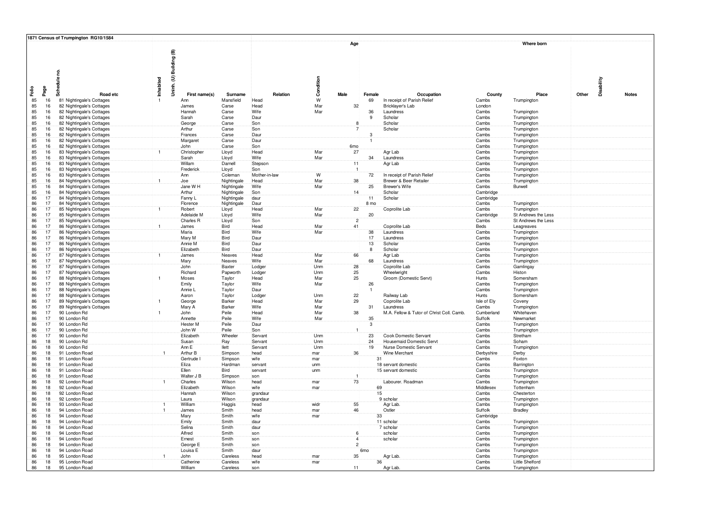|                                          | 1871 Census of Trumpington RG10/1584                   |                |                                               |                  |                      |            |                 |                 |                                                   |                    |                                    |                     |              |
|------------------------------------------|--------------------------------------------------------|----------------|-----------------------------------------------|------------------|----------------------|------------|-----------------|-----------------|---------------------------------------------------|--------------------|------------------------------------|---------------------|--------------|
|                                          |                                                        |                |                                               |                  |                      |            | Age             |                 |                                                   |                    | Where born                         |                     |              |
| Failo<br>Page                            | Schedule no.<br>Road etc                               | Inhabited      | Building (B)<br>Uninh. (U) I<br>First name(s) | Surname          | Relation             | Condition  | Male            | Female          | Occupation                                        | County             | Place                              | Disability<br>Other | <b>Notes</b> |
| 85<br>16                                 | 81 Nightingale's Cottages                              |                | Ann                                           | Mansfield        | Head                 | ${\sf W}$  |                 | 69              | In receipt of Parish Relief                       | Cambs              | Trumpington                        |                     |              |
| 85<br>16 <sub>1</sub>                    | 82 Nightingale's Cottages                              |                | James                                         | Carse            | Head                 | Mar        | 32              |                 | Bricklayer's Lab                                  | London             |                                    |                     |              |
| 85<br>16 <sup>2</sup>                    | 82 Nightingale's Cottages                              |                | Hannah                                        | Carse            | Wife                 | Mar        |                 | 36              | Laundress                                         | Cambs              | Trumpington                        |                     |              |
| 85<br>16                                 | 82 Nightingale's Cottages                              |                | Sarah                                         | Carse            | Daur                 |            |                 | 9               | Scholar                                           | Cambs              | Trumpington                        |                     |              |
| 85<br>16                                 | 82 Nightingale's Cottages                              |                | George                                        | Carse            | Son                  |            | 8               |                 | Scholar                                           | Cambs              | Trumpington                        |                     |              |
| 85<br>16 <sub>1</sub>                    | 82 Nightingale's Cottages                              |                | Arthur                                        | Carse            | Son                  |            |                 |                 | Scholar                                           | Cambs              | Trumpington                        |                     |              |
| 85<br>16<br>85<br>16 <sup>2</sup>        | 82 Nightingale's Cottages                              |                | Frances<br>Margaret                           | Carse<br>Carse   | Daur<br>Daur         |            |                 | 3               |                                                   | Cambs<br>Cambs     | Trumpington                        |                     |              |
| 85<br>16 <sup>2</sup>                    | 82 Nightingale's Cottages<br>82 Nightingale's Cottages |                | John                                          | Carse            | Son                  |            | 6 <sub>mo</sub> |                 |                                                   | Cambs              | Trumpington<br>Trumpington         |                     |              |
| 85<br>16 <sup>2</sup>                    | 83 Nightingale's Cottages                              |                | Christopher                                   | Lloyd            | Head                 | Mar        | 27              |                 | Agr Lab                                           | Cambs              | Trumpington                        |                     |              |
| 85<br>16                                 | 83 Nightingale's Cottages                              |                | Sarah                                         | Lloyd            | Wife                 | Mar        |                 | 34              | Laundress                                         | Cambs              | Trumpington                        |                     |              |
| 85<br>16                                 | 83 Nightingale's Cottages                              |                | Willam                                        | Darnell          | Stepson              |            | 11              |                 | Agr Lab                                           | Cambs              | Trumpington                        |                     |              |
| 85<br>16                                 | 83 Nightingale's Cottages                              |                | Frederick                                     | Lloyd            | Son                  |            | $\overline{1}$  |                 |                                                   | Cambs              | Trumpington                        |                     |              |
| 85<br>16 <sup>°</sup>                    | 83 Nightingale's Cottages                              |                | Ann                                           | Coleman          | Mother-in-law        | W          |                 | 72              | In receipt of Parish Relief                       | Cambs              | Trumpington                        |                     |              |
| 85<br>16                                 | 84 Nightingale's Cottages                              | $\mathbf{1}$   | Joe                                           | Nightingale      | Head                 | Mar        | 38              |                 | Brewer & Beer Retailer                            | Cambs              | Trumpington                        |                     |              |
| 85<br>16                                 | 84 Nightingale's Cottages                              |                | Jane W H                                      | Nightingale      | Wife                 | Mar        |                 | 25              | Brewer's Wife                                     | Cambs              | Burwell                            |                     |              |
| 85<br>16                                 | 84 Nightingale's Cottages                              |                | Arthur                                        | Nightingale      | Son                  |            | 14              |                 | Scholar                                           | Cambridge          |                                    |                     |              |
| 86<br>17                                 | 84 Nightingale's Cottages                              |                | Fanny L                                       | Nightingale      | daur                 |            |                 | 11              | Scholar                                           | Cambridge          |                                    |                     |              |
| 86<br>17<br>86<br>17                     | 84 Nightingale's Cottages                              |                | Florence                                      | Nightingale      | Daur                 |            |                 | 8 mo            |                                                   | Cambs              | Trumpington                        |                     |              |
| 86<br>17                                 | 85 Nightingale's Cottages<br>85 Nightingale's Cottages |                | Robert<br>Adelaide M                          | Lloyd            | Head<br>Wife         | Mar<br>Mar | 22              | 20              | Coprolite Lab                                     | Cambs<br>Cambridge | Trumpington<br>St Andrews the Less |                     |              |
| 86<br>17                                 | 85 Nightingale's Cottages                              |                | Charles <sub>R</sub>                          | Lloyd<br>Lloyd   | Son                  |            | $\overline{2}$  |                 |                                                   | Cambs              | St Andrews the Less                |                     |              |
| 86<br>17 <sup>2</sup>                    | 86 Nightingale's Cottages                              | $\mathbf{1}$   | James                                         | Bird             | Head                 | Mar        | 41              |                 | Coprolite Lab                                     | Beds               | Leagreaves                         |                     |              |
| 86<br>17 <sup>2</sup>                    | 86 Nightingale's Cottages                              |                | Maria                                         | Bird             | Wife                 | Mar        |                 | 38              | Laundress                                         | Cambs              | Trumpington                        |                     |              |
| 86<br>17 <sup>2</sup>                    | 86 Nightingale's Cottages                              |                | Mary M                                        | Bird             | Daur                 |            |                 | 17              | Laundress                                         | Cambs              | Trumpington                        |                     |              |
| 86<br>17 <sup>2</sup>                    | 86 Nightingale's Cottages                              |                | Annie M                                       | Bird             | Daur                 |            |                 | 13              | Scholar                                           | Cambs              | Trumpington                        |                     |              |
| 86<br>17                                 | 86 Nightingale's Cottages                              |                | Elizabeth                                     | Bird             | Daur                 |            |                 | 8               | Scholar                                           | Cambs              | Trumpington                        |                     |              |
| 86<br>17 <sup>2</sup>                    | 87 Nightingale's Cottages                              | $\mathbf{1}$   | James                                         | Neaves           | Head                 | Mar        | 66              |                 | Agr Lab                                           | Cambs              | Trumpington                        |                     |              |
| 86<br>17 <sub>1</sub>                    | 87 Nightingale's Cottages                              |                | Mary                                          | Neaves           | Wife                 | Mar        |                 | 68              | Laundress                                         | Cambs              | Trumpington                        |                     |              |
| 86<br>17 <sup>2</sup>                    | 87 Nightingale's Cottages                              |                | John                                          | Baxter           | Lodger               | Unm        | 28              |                 | Coprolite Lab                                     | Cambs              | Gamlingay                          |                     |              |
| 86<br>17                                 | 87 Nightingale's Cottages                              | $\blacksquare$ | Richard                                       | Papworth         | Lodger               | Unm        | 25<br>25        |                 | Wheelwright                                       | Cambs              | Histon                             |                     |              |
| 86<br>17 <sub>2</sub><br>86<br>17        | 88 Nightingale's Cottages<br>88 Nightingale's Cottages |                | Moses<br>Emily                                | Taylor<br>Taylor | Head<br>Wife         | Mar<br>Mar |                 | 26              | Groom (Domestic Servt)                            | Hunts<br>Cambs     | Somersham<br>Trumpington           |                     |              |
| 86<br>17                                 | 88 Nightingale's Cottages                              |                | Annie L                                       | Taylor           | Daur                 |            |                 |                 |                                                   | Cambs              | Trumpington                        |                     |              |
| 86<br>17 <sup>2</sup>                    | 88 Nightingale's Cottages                              |                | Aaron                                         | Taylor           | Lodger               | Unm        | 22              |                 | Railway Lab                                       | Hunts              | Somersham                          |                     |              |
| 17<br>86                                 | 89 Nightingale's Cottages                              |                | George                                        | Barker           | Head                 | Mar        | 29              |                 | Coprolite Lab                                     | Isle of Ely        | Coveny                             |                     |              |
| 86<br>17 <sup>2</sup>                    | 89 Nightingale's Cottages                              |                | Mary A                                        | Barker           | Wife                 | Mar        |                 | 31              | Laundress                                         | Cambs              | Trumpington                        |                     |              |
| 86<br>17                                 | 90 London Rd                                           |                | John                                          | Peile            | Head                 | Mar        | 38              |                 | M.A. Fellow & Tutor of Christ Coll. Camb.         | Cumberland         | Whitehaven                         |                     |              |
| 86<br>17 <sup>2</sup>                    | 90 London Rd                                           |                | Annette                                       | Peile            | Wife                 | Mar        |                 | 35              |                                                   | Suffolk            | Newmarket                          |                     |              |
| 86<br>17 <sup>2</sup>                    | 90 London Rd                                           |                | Hester M                                      | Peile            | Daur                 |            |                 | 3               |                                                   | Cambs              | Trumpington                        |                     |              |
| 86<br>17 <sup>2</sup><br>17 <sup>2</sup> | 90 London Rd                                           |                | John W<br>Elizabeth                           | Peile            | Son                  |            |                 |                 |                                                   | Cambs              | Trumpington                        |                     |              |
| 86<br>86<br>18                           | 90 London Rd<br>90 London Rd                           |                | Susan                                         | Wheeler<br>Ray   | Servant<br>Servant   | Unm<br>Unm |                 | 23<br>24        | Cook Domestic Servant<br>Housemaid Domestic Servt | Cambs<br>Cambs     | Stretham<br>Soham                  |                     |              |
| 86<br>18                                 | 90 London Rd                                           |                | Ann E                                         | llett            | Servant              | Unm        |                 | 19              | Nurse Domestic Servant                            | Cambs              | Trumpington                        |                     |              |
| 86<br>18                                 | 91 London Road                                         | $\mathbf{1}$   | Arthur B                                      | Simpson          | head                 | mar        | 36              |                 | Wine Merchant                                     | Derbyshire         | Derby                              |                     |              |
| 86<br>18 <sup>°</sup>                    | 91 London Road                                         |                | Gertrude                                      | Simpson          | wife                 | mar        |                 | 31              |                                                   | Cambs              | Foxton                             |                     |              |
| 86<br>18                                 | 91 London Road                                         |                | Eliza                                         | Hardman          | servant              | unm        |                 |                 | 18 servant domestic                               | Cambs              | Barrington                         |                     |              |
| 86<br>18 <sup>1</sup>                    | 91 London Road                                         |                | Ellen                                         | Bird             | servant              | unm        |                 |                 | 15 servant domestic                               | Cambs              | Trumpington                        |                     |              |
| 86<br>18                                 | 91 London Road                                         |                | Walter J B                                    | Simpson          | son                  |            |                 |                 |                                                   | Cambs              | Trumpington                        |                     |              |
| 86<br>18<br>86<br>18                     | 92 London Road                                         |                | Charles                                       | Wilson           | head<br>wife         | mar        | 73              |                 | Labourer. Roadman                                 | Cambs              | Trumpington                        |                     |              |
| 86<br>18 <sup>2</sup>                    | 92 London Road<br>92 London Road                       |                | Elizabeth<br>Hannah                           | Wilson<br>Wilson |                      | mar        |                 | 69<br>15        |                                                   | Middlesex<br>Cambs | Tottenham<br>Chesterton            |                     |              |
| 86<br>18                                 | 92 London Road                                         |                | Laura                                         | Wilson           | grandaur<br>grandaur |            |                 |                 | 9 scholar                                         | Cambs              | Trumpington                        |                     |              |
| 86<br>18                                 | 93 London Road                                         |                | William                                       | Haggis           | head                 | widr       | 55              |                 | Agr Lab.                                          | Cambs              | Trumpington                        |                     |              |
| 86<br>18                                 | 94 London Road                                         |                | James                                         | Smith            | head                 | mar        | 46              |                 | Ostler                                            | Suffolk            | <b>Bradley</b>                     |                     |              |
| 86<br>18                                 | 94 London Road                                         |                | Mary                                          | Smith            | wife                 | mar        |                 | 33              |                                                   | Cambridge          |                                    |                     |              |
| 86<br>18                                 | 94 London Road                                         |                | Emily                                         | Smith            | daur                 |            |                 |                 | 11 scholar                                        | Cambs              | Trumpington                        |                     |              |
| 86<br>18 <sup>2</sup>                    | 94 London Road                                         |                | Selina                                        | Smith            | daur                 |            |                 |                 | 7 scholar                                         | Cambs              | Trumpington                        |                     |              |
| 86<br>18 <sup>1</sup>                    | 94 London Road                                         |                | Alfred                                        | Smith            | son                  |            | 6               |                 | scholar                                           | Cambs              | Trumpington                        |                     |              |
| 86<br>18 <sup>2</sup>                    | 94 London Road                                         |                | Ernest                                        | Smith            | son                  |            |                 |                 | scholar                                           | Cambs              | Trumpington                        |                     |              |
| 86<br>18 <sup>2</sup><br>86<br>18        | 94 London Road<br>94 London Road                       |                | George E<br>Louisa E                          | Smith<br>Smith   | son<br>daur          |            | $\overline{2}$  | 6 <sub>mo</sub> |                                                   | Cambs<br>Cambs     | Trumpington                        |                     |              |
| 86<br>18 <sup>2</sup>                    | 95 London Road                                         |                | John                                          | Careless         | head                 | mar        | 35 <sup>2</sup> |                 | Agr Lab.                                          | Cambs              | Trumpington<br>Trumpington         |                     |              |
| 86<br>18                                 | 95 London Road                                         |                | Catherine                                     | Careless         | wife                 | mar        |                 | 36              |                                                   | Cambs              | Little Shelford                    |                     |              |
| 86<br>18 <sup>2</sup>                    | 95 London Road                                         |                | William                                       | Careless         | S <sub>0</sub>       |            | 11              |                 | Agr Lab.                                          | Cambs              | Trumpington                        |                     |              |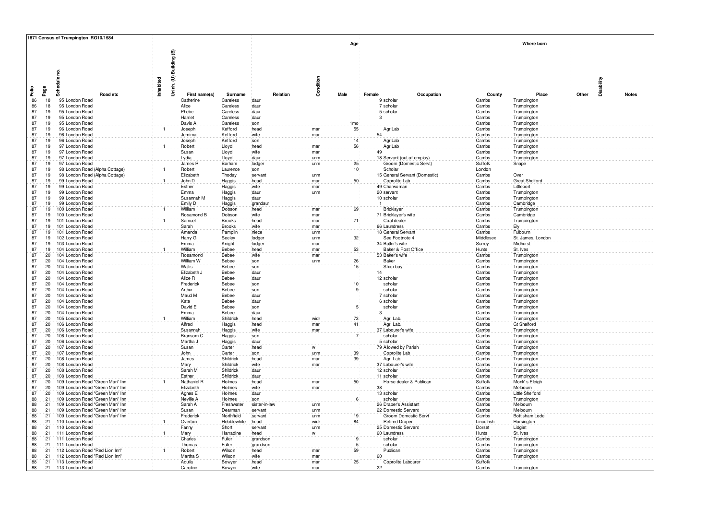|       |                       |              | 1871 Census of Trumpington RG10/1584 |          |                |                         |                        |                 |          |             |                 |        |                                              |            |                     |                                   |            |              |
|-------|-----------------------|--------------|--------------------------------------|----------|----------------|-------------------------|------------------------|-----------------|----------|-------------|-----------------|--------|----------------------------------------------|------------|---------------------|-----------------------------------|------------|--------------|
|       |                       |              |                                      |          |                |                         |                        |                 |          |             | Age             |        |                                              |            |                     | Where born                        |            |              |
|       |                       |              |                                      |          |                |                         |                        |                 |          |             |                 |        |                                              |            |                     |                                   |            |              |
|       |                       |              |                                      |          |                | Uninh. (U) Building (B) |                        |                 |          |             |                 |        |                                              |            |                     |                                   |            |              |
|       |                       |              |                                      |          |                |                         |                        |                 |          |             |                 |        |                                              |            |                     |                                   |            |              |
|       |                       |              |                                      |          |                |                         |                        |                 |          |             |                 |        |                                              |            |                     |                                   |            |              |
|       |                       | Schedule no. |                                      |          |                |                         |                        |                 |          |             |                 |        |                                              |            |                     |                                   |            |              |
|       |                       |              |                                      |          | Inhabited      |                         |                        |                 |          | Condition   |                 |        |                                              |            |                     |                                   | Disability |              |
| Faile | Page                  |              |                                      |          |                |                         |                        |                 |          |             |                 |        |                                              |            |                     |                                   |            |              |
|       |                       |              |                                      | Road etc |                | First name(s)           | Surname                |                 | Relation |             | Male            | Female |                                              | Occupation | County              | Place                             | Other      | <b>Notes</b> |
|       | 86<br>18<br>86<br>18  |              | 95 London Road<br>95 London Road     |          |                | Catherine<br>Alice      | Careless<br>Careless   | daur<br>daur    |          |             |                 |        | 9 scholar<br>7 scholar                       |            | Cambs<br>Cambs      | Trumpington<br>Trumpington        |            |              |
|       | 87<br>19              |              | 95 London Road                       |          |                | Phebe                   | Careless               | daur            |          |             |                 |        | 5 scholar                                    |            | Cambs               | Trumpington                       |            |              |
|       | 87<br>19 <sup>°</sup> |              | 95 London Road                       |          |                | Harriet                 | Careless               | daur            |          |             |                 |        | $\mathcal{B}$                                |            | Cambs               | Trumpington                       |            |              |
|       | 87<br>19              |              | 95 London Road                       |          |                | Davis A                 | Careless               | son             |          |             | 1 <sub>mo</sub> |        |                                              |            | Cambs               | Trumpington                       |            |              |
|       | 87<br>19              |              | 96 London Road                       |          |                | Joseph                  | Kefford                | head            |          | mar         | 55              |        | Agr Lab                                      |            | Cambs               | Trumpington                       |            |              |
|       | 87<br>19 <sup>1</sup> |              | 96 London Road                       |          |                | Jemima                  | Kefford                | wife            |          | mar         |                 |        | 54                                           |            | Cambs               | Trumpington                       |            |              |
|       | 87<br>19 <sup>°</sup> |              | 96 London Road                       |          |                | Joseph                  | Kefford                | son             |          |             | 14              |        | Agr Lab                                      |            | Cambs               | Trumpington                       |            |              |
|       | 87<br>19              |              | 97 London Road                       |          |                | Robert                  | Lloyd                  | head            |          | mar         | 56              |        | Agr Lab                                      |            | Cambs               | Trumpington                       |            |              |
|       | 87<br>19<br>87<br>19  |              | 97 London Road<br>97 London Road     |          |                | Susan<br>Lydia          | Lloyd<br>Lloyd         | wife<br>daur    |          | mar<br>unm  |                 |        | 49<br>18 Servant (out of employ)             |            | Cambs<br>Cambs      | Trumpington<br>Trumpington        |            |              |
|       | 87<br>19              |              | 97 London Road                       |          |                | James R                 | Barham                 | lodger          |          | unm         | 25              |        | Groom (Domestic Servt)                       |            | Suffolk             | Snape                             |            |              |
|       | 87<br>19              |              | 98 London Road (Alpha Cottage)       |          |                | Robert                  | Laurence               | son             |          |             | 10 <sub>1</sub> |        | Scholar                                      |            | London              |                                   |            |              |
|       | 87<br>19              |              | 98 London Road (Alpha Cottage)       |          |                | Elizabeth               | Thoday                 | servant         |          | unm         |                 |        | 15 General Servant (Domestic)                |            | Cambs               | Over                              |            |              |
|       | 87<br>19              |              | 99 London Road                       |          |                | John D                  | Haggis                 | head            |          | mar         | 50              |        | Coprolite Lab                                |            | Cambs               | Great Shelford                    |            |              |
|       | 87<br>19              |              | 99 London Road                       |          |                | Esther                  | Haggis                 | wife            |          | mar         |                 |        | 49 Charwoman                                 |            | Cambs               | Littleport                        |            |              |
|       | 87<br>19              |              | 99 London Road                       |          |                | Emma                    | Haggis                 | daur            |          | unm         |                 |        | 20 servant                                   |            | Cambs               | Trumpington                       |            |              |
|       | 87<br>19              |              | 99 London Road                       |          |                | Susannah M              | Haggis                 | daur            |          |             |                 |        | 10 scholar                                   |            | Cambs               | Trumpington                       |            |              |
|       | 87<br>19<br>87        |              | 99 London Road<br>100 London Road    |          |                | Emily D<br>William      | Haggis                 | grandaur        |          |             | 69              |        | Bricklayer                                   |            | Cambs<br>Cambs      | Cambridge                         |            |              |
|       | 19<br>87<br>19        |              | 100 London Road                      |          |                | Rosamond B              | Dobson<br>Dobson       | head<br>wife    |          | mar<br>mar  |                 |        | 71 Bricklayer's wife                         |            | Cambs               | Trumpington<br>Cambridge          |            |              |
|       | 87<br>19              |              | 101 London Road                      |          |                | Samuel                  | <b>Brooks</b>          | head            |          | mar         | 71              |        | Coal dealer                                  |            | Cambs               | Trumpington                       |            |              |
|       | 87<br>19              |              | 101 London Road                      |          |                | Sarah                   | <b>Brooks</b>          | wife            |          | mar         |                 |        | 66 Laundress                                 |            | Cambs               | Ely                               |            |              |
|       | 87<br>19              |              | 101 London Road                      |          |                | Amanda                  | Pamplin                | niece           |          | unm         |                 |        | 18 General Servant                           |            | Cambs               | Fulbourn                          |            |              |
|       | 87<br>19              |              | 102 London Road                      |          |                | Harry G                 | Seeley                 | lodger          |          | unm         | 32              |        | See Footnote 4                               |            | Middlesex           | St. James. Londor                 |            |              |
|       | 87<br>19              |              | 103 London Road                      |          |                | Emma                    | Knight                 | lodger          |          | mar         |                 |        | 34 Butler's wife                             |            | Surrey              | Midhurst                          |            |              |
|       | 87<br>19              |              | 104 London Road                      |          | $\overline{1}$ | William                 | Bebee                  | head            |          | mar         | 53              |        | Baker & Post Office                          |            | Hunts               | St. Ives                          |            |              |
|       | 87<br>20              |              | 104 London Road                      |          |                | Rosamond<br>William W   | Bebee                  | wife            |          | mar         |                 |        | 53 Baker's wife                              |            | Cambs               | Trumpington                       |            |              |
|       | 87<br>20<br>87<br>20  |              | 104 London Road<br>104 London Road   |          |                | Wallis                  | Bebee<br>Bebee         | son<br>son      |          | unm         | 26<br>15        |        | Baker<br>Shop boy                            |            | Cambs<br>Cambs      | Trumpington                       |            |              |
|       | 87<br>20              |              | 104 London Road                      |          |                | Elizabeth J             | Bebee                  | daur            |          |             |                 |        | 14 <sub>1</sub>                              |            | Cambs               | Trumpington<br>Trumpington        |            |              |
|       | 87<br>20              |              | 104 London Road                      |          |                | Alice R                 | Bebee                  | daur            |          |             |                 |        | 12 scholar                                   |            | Cambs               | Trumpington                       |            |              |
|       | 87<br>20              |              | 104 London Road                      |          |                | Frederick               | Bebee                  | son             |          |             | 10              |        | scholar                                      |            | Cambs               | Trumpington                       |            |              |
|       | 87<br>20              |              | 104 London Road                      |          |                | Arthur                  | Bebee                  | son             |          |             |                 |        | scholar                                      |            | Cambs               | Trumpingtor                       |            |              |
|       | 87<br>20              |              | 104 London Road                      |          |                | Maud M                  | Bebee                  | daur            |          |             |                 |        | 7 scholar                                    |            | Cambs               | Trumpington                       |            |              |
|       | 87<br>20              |              | 104 London Road                      |          |                | Kate                    | Bebee                  | daur            |          |             |                 |        | 6 scholar                                    |            | Cambs               | Trumpingtor                       |            |              |
|       | 87<br>20              |              | 104 London Road                      |          |                | David E                 | Bebee                  | son             |          |             | 5               |        | scholar                                      |            | Cambs               | Trumpington                       |            |              |
|       | 87<br>20              |              | 104 London Road                      |          |                | Emma                    | Bebee                  | daur            |          |             |                 |        | 3                                            |            | Cambs               | Trumpington                       |            |              |
|       | 87<br>20<br>87<br>20  |              | 105 London Road<br>106 London Road   |          |                | William<br>Alfred       | Shildrick<br>Haggis    | head<br>head    |          | widr<br>mar | 73<br>41        |        | Agr. Lab.<br>Agr. Lab.                       |            | Cambs<br>Cambs      | Trumpington<br><b>Gt Shelford</b> |            |              |
|       | 87<br>20              |              | 106 London Road                      |          |                | Susannah                | Haggis                 | wife            |          | mar         |                 |        | 37 Labourer's wife                           |            | Cambs               | Trumpington                       |            |              |
|       | 87<br>20              |              | 106 London Road                      |          |                | Bransom C               | Haggis                 | son             |          |             | $\overline{7}$  |        | scholar                                      |            | Cambs               | Trumpington                       |            |              |
|       | 87<br>20              |              | 106 London Road                      |          |                | Martha J                | Haggis                 | daur            |          |             |                 |        | 5 scholar                                    |            | Cambs               | Trumpington                       |            |              |
|       | 87<br>20              |              | 107 London Road                      |          |                | Susan                   | Carter                 | head            |          | W           |                 |        | 79 Allowed by Parish                         |            | Cambs               | Trumpington                       |            |              |
|       | 87<br>20              |              | 107 London Road                      |          |                | John                    | Carter                 | son             |          | unm         | 39              |        | Coprolite Lab                                |            | Cambs               | Trumpington                       |            |              |
|       | 87<br>20              |              | 108 London Road                      |          |                | James                   | Shildrick              | head            |          | mar         | 39              |        | Agr. Lab.                                    |            | Cambs               | Trumpington                       |            |              |
|       | 87<br>20<br>87        |              | 108 London Road                      |          |                | Mary                    | Shildrick              | wife            |          | mar         |                 |        | 37 Labourer's wife                           |            | Cambs               | Trumpington                       |            |              |
|       | 20<br>87<br>20        |              | 108 London Road<br>108 London Road   |          |                | Sarah M<br>Esther       | Shildrick<br>Shildrick | daur<br>daur    |          |             |                 |        | 12 scholar<br>11 scholar                     |            | Cambs<br>Cambs      | Trumpington                       |            |              |
|       | 87<br>20              |              | 109 London Road "Green Man" Inn      |          |                | Nathaniel R             | Holmes                 | head            |          | mar         | 50              |        | Horse dealer & Publican                      |            | Suffolk             | Trumpington<br>Monk's Eleigh      |            |              |
|       | 87<br>20              |              | 109 London Road "Green Man" Inn      |          |                | Elizabeth               | Holmes                 | wife            |          | mar         |                 |        | 38                                           |            | Cambs               | Melbourn                          |            |              |
|       | 87<br>20              |              | 109 London Road "Green Man" Inn      |          |                | Agnes E                 | Holmes                 | daur            |          |             |                 |        | 13 scholar                                   |            | Cambs               | Little Shelford                   |            |              |
|       | 88<br>21              |              | 109 London Road "Green Man" Inn      |          |                | Neville A               | Holmes                 | son             |          |             | 6               |        | scholar                                      |            | Cambs               | Trumpington                       |            |              |
|       | 88<br>21              |              | 109 London Road "Green Man" Inn      |          |                | Sarah A                 | Freshwater             | sister-in-law   |          | unm         |                 |        | 26 Draper's Assistant                        |            | Cambs               | Melbourn                          |            |              |
|       | 88<br>21              |              | 109 London Road "Green Man" Inn      |          |                | Susan                   | Dearman                | servant         |          | unm         |                 |        | 22 Domestic Servant                          |            | Cambs               | Melbourn                          |            |              |
|       | 88<br>21              |              | 109 London Road "Green Man" Inn      |          |                | Frederick               | Northfield             | servant         |          | unm         | 19              |        | Groom Domestic Servt                         |            | Cambs               | <b>Bottisham Lode</b>             |            |              |
|       | 88<br>21<br>88<br>21  |              | 110 London Road<br>110 London Road   |          | $\overline{1}$ | Overton<br>Fanny        | Hebblewhite<br>Short   | head<br>servant |          | widr<br>unm | 84              |        | <b>Retired Draper</b><br>25 Domestic Servant |            | Lincolnsh<br>Dorset | Horsington<br>Lidgiet             |            |              |
|       | 88<br>21              |              | 111 London Road                      |          |                | Mary                    | Harradine              | head            |          | W           |                 |        | 60 Laundress                                 |            | Hunts               | St. Ives                          |            |              |
|       | 88<br>21              |              | 111 London Road                      |          |                | Charles                 | Fuller                 | grandson        |          |             | ۊ.              |        | scholar                                      |            | Cambs               | Trumpington                       |            |              |
|       | 88<br>21              |              | 111 London Road                      |          |                | Thomas                  | Fuller                 | grandson        |          |             | 5               |        | scholar                                      |            | Cambs               | Trumpington                       |            |              |
|       | 88<br>21              |              | 112 London Road "Red Lion Inn"       |          |                | Robert                  | Wilson                 | head            |          | mar         | 59              |        | Publican                                     |            | Cambs               | Trumpington                       |            |              |
|       | 88<br>21              |              | 112 London Road "Red Lion Inn"       |          |                | Martha <sub>S</sub>     | Wilson                 | wife            |          | mar         |                 |        | 60                                           |            | Cambs               | Trumpington                       |            |              |
|       | 88<br>21              |              | 113 London Road                      |          |                | Aquila                  | Bowyer                 | head            |          | mar         | 25              |        | Coprolite Labourer                           |            | Suffolk             |                                   |            |              |
|       | 88<br>21              |              | 113 London Road                      |          |                | Caroline                | Bowyer                 | wife            |          | mar         |                 |        | 22                                           |            | Cambs               | Trumpington                       |            |              |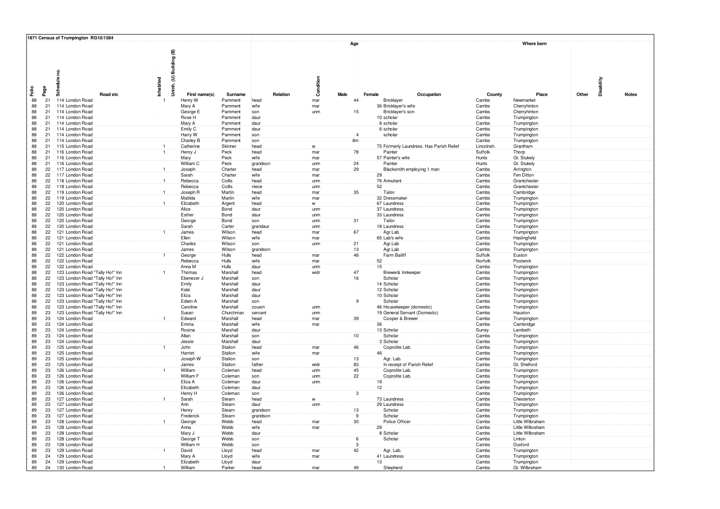|          |                              | 1871 Census of Trumpington RG10/1584                               |                           |                       |                      |                |                      |                         |                 |                                                     |                      |                              |                     |              |
|----------|------------------------------|--------------------------------------------------------------------|---------------------------|-----------------------|----------------------|----------------|----------------------|-------------------------|-----------------|-----------------------------------------------------|----------------------|------------------------------|---------------------|--------------|
|          |                              | Schedule no.                                                       | Building (B)              |                       |                      |                |                      | Age                     |                 |                                                     |                      | Where born                   |                     |              |
| Falio    | Page                         | Road etc                                                           | Uninh. (U) I<br>Inhabited | First name(s)         | Surname              | Relation       | Condition<br>Male    | Female                  |                 | Occupation                                          | County               | Place                        | Disability<br>Other | <b>Notes</b> |
| 88       | 21                           | 114 London Road                                                    |                           | Henry W               | Pamment              | head           | mar                  | 44                      |                 | Bricklayer                                          | Cambs                | Newmarket                    |                     |              |
| 88<br>88 | 21<br>21                     | 114 London Road<br>114 London Road                                 |                           | Mary A<br>George E    | Pamment<br>Pamment   | wife<br>son    | mar<br>unm           | 15                      |                 | 36 Bricklayer's wife<br>Bricklayer's son            | Cambs<br>Cambs       | Cherryhinton<br>Cherryhinton |                     |              |
| 88       | 21                           | 114 London Road                                                    |                           | Rose H                | Pamment              | daur           |                      |                         |                 | 10 scholar                                          | Cambs                | Trumpington                  |                     |              |
| 88       | 21                           | 114 London Road                                                    |                           | Mary A                | Pamment              | daur           |                      |                         |                 | 8 scholar                                           | Cambs                | Trumpington                  |                     |              |
| 88       | 21                           | 114 London Road                                                    |                           | Emily C               | Pamment              | daur           |                      |                         |                 | 6 scholar                                           | Cambs                | Trumpington                  |                     |              |
| 88       | 21                           | 114 London Road                                                    |                           | Harry W               | Pamment              | son            |                      | $\overline{4}$          |                 | scholar                                             | Cambs                | Trumpington                  |                     |              |
| 88       | 21                           | 114 London Road                                                    |                           | Charley B             | Pamment              | son            |                      | 8 <sub>m</sub>          |                 |                                                     | Cambs                | Trumpington                  |                     |              |
| 88<br>88 | 21<br>21                     | 115 London Road<br>116 London Road                                 |                           | Catherine<br>Henry J  | Skinner<br>Peck      | head<br>head   | $\mathsf{w}$<br>mar  | 78                      |                 | 75 Formerly Laundress. Has Parish Relief<br>Painter | Lincolnsh<br>Suffolk | Grantham<br>Thorp            |                     |              |
| 88       | 21                           | 116 London Road                                                    |                           | Mary                  | Peck                 | wife           | mar                  |                         |                 | 57 Painter's wife                                   | Hunts                | Gt. Stukely                  |                     |              |
| 88       | 21                           | 116 London Road                                                    |                           | William C             | Peck                 | grandson       | unm                  | 24                      |                 | Painter                                             | Hunts                | Gt. Stukely                  |                     |              |
| 88       | $22^{\circ}$                 | 117 London Road                                                    |                           | Joseph                | Charter              | head           | mar                  | 29                      |                 | Blacksmith employing 1 man                          | Cambs                | Arrington                    |                     |              |
| 88       | $22^{\circ}$                 | 117 London Road                                                    |                           | Sarah                 | Charter              | wife           | mar                  |                         | 29              |                                                     | Cambs                | Fen Ditton                   |                     |              |
| 88       | $22^{\circ}$                 | 118 London Road                                                    | $\mathbf{1}$              | Rebecca               | Collis               | head           | unm                  |                         |                 | 76 Annuitant                                        | Cambs                | Grantchester                 |                     |              |
| 88<br>88 | 22<br>22                     | 118 London Road<br>119 London Road                                 |                           | Rebecca<br>Joseph R   | Collis<br>Martin     | niece<br>head  | unm<br>mar           | 35                      | 52              | Tailor                                              | Cambs<br>Cambs       | Grantcheste<br>Cambridge     |                     |              |
| 88       | $22^{\circ}$                 | 119 London Road                                                    |                           | Matilda               | Martin               | wife           | mar                  |                         |                 | 32 Dressmake                                        | Cambs                | Trumpington                  |                     |              |
| 88       | 22                           | 120 London Road                                                    | $\mathbf{1}$              | Elizabeth             | Argent               | head           | w                    |                         |                 | 67 Laundress                                        | Cambs                | Trumpington                  |                     |              |
| 88       | $22^{\circ}$                 | 120 London Road                                                    |                           | Alice                 | Bond                 | daur           | unm                  |                         |                 | 37 Laundress                                        | Cambs                | Trumpington                  |                     |              |
| 88       | $22^{\circ}$                 | 120 London Road                                                    |                           | Esther                | Bond                 | daur           | unm                  |                         |                 | 33 Laundress                                        | Cambs                | Trumpington                  |                     |              |
| 88<br>88 | $22^{\circ}$<br>$22^{\circ}$ | 120 London Road<br>120 London Road                                 |                           | George<br>Sarah       | Bond<br>Carter       | son<br>grandau | unm<br>unm           | 31                      |                 | Tailor<br>18 Laundress                              | Cambs<br>Cambs       | Trumpington<br>Trumpington   |                     |              |
| 88       | 22                           | 121 London Road                                                    |                           | James                 | Wilson               | head           | mar                  | 67                      |                 | Agr.Lab                                             | Cambs                | Trumpington                  |                     |              |
| 88       | $22^{\circ}$                 | 121 London Road                                                    |                           | Ellen                 | Wilson               | wife           | mar                  |                         |                 | 65 Lab's wife                                       | Cambs                | Haslingfield                 |                     |              |
| 88       | 22                           | 121 London Road                                                    |                           | Charles               | Wilson               | son            | unm                  | 21                      |                 | Agr.Lab                                             | Cambs                | Trumpington                  |                     |              |
| 88       | 22                           | 121 London Road                                                    |                           | James                 | Wilson               | grandson       |                      | 13                      |                 | Agr.Lab                                             | Cambs                | Trumpington                  |                     |              |
| 88<br>88 | 22<br>$22^{\circ}$           | 122 London Road<br>122 London Road                                 |                           | George<br>Rebecca     | Hulls<br>Hulls       | head<br>wife   | mar<br>mar           | 46                      | 52              | Farm Bailift                                        | Suffolk<br>Norfolk   | Euston<br>Postwick           |                     |              |
| 88       | 22                           | 122 London Road                                                    |                           | Anna M                | Hulls                | daur           | unm                  |                         | 15              |                                                     | Cambs                | Trumpington                  |                     |              |
| 88       | 22                           | 123 London Road "Tally Ho!" Inn                                    | $\overline{1}$            | Thomas                | Marshall             | head           | widr                 | 47                      |                 | Brewer& Innkeeper                                   | Cambs                | Trumpington                  |                     |              |
| 88       | 22                           | 123 London Road "Tally Ho!" Inn                                    |                           | Ebenezer J            | Marshall             | son            |                      | 16                      |                 | Scholar                                             | Cambs                | Trumpington                  |                     |              |
| 88       | $22^{\circ}$                 | 123 London Road "Tally Ho!" Inn                                    |                           | Emily                 | Marshall             | daur           |                      |                         |                 | 14 Scholar                                          | Cambs                | Trumpington                  |                     |              |
| 88       | 22                           | 123 London Road "Tally Ho!" Inn                                    |                           | Kate                  | Marshall             | daur           |                      |                         |                 | 12 Scholar<br>10 Scholar                            | Cambs                | Trumpington                  |                     |              |
| 88<br>88 | 22<br>22                     | 123 London Road "Tally Ho!" Inn<br>123 London Road "Tally Ho!" Inn |                           | Eliza<br>Edwin A      | Marshall<br>Marshall | daur<br>son    |                      |                         |                 | Scholar                                             | Cambs<br>Cambs       | Trumpington<br>Trumpingtor   |                     |              |
| 88       | $22^{\frac{1}{2}}$           | 123 London Road "Tally Ho!" Inn                                    |                           | Caroline              | Marshall             | cousin         | unm                  |                         |                 | 46 Housekeeper (domestic)                           | Cambs                | Trumpingtor                  |                     |              |
| 89       | 23                           | 123 London Road "Tally Ho!" Inn                                    |                           | Susan                 | Churchman            | servant        | unm                  |                         |                 | 19 General Servant (Domestic)                       | Cambs                | Hauxton                      |                     |              |
| 89       | 23                           | 124 London Road                                                    |                           | Edward                | Marshall             | head           | mar                  | 39                      |                 | Cooper & Brewer                                     | Cambs                | Trumpingtor                  |                     |              |
| 89       | 23                           | 124 London Road                                                    |                           | Emma                  | Marshall             | wife           | mar                  |                         | 36              |                                                     | Cambs                | Cambridge                    |                     |              |
| 89<br>89 | 23<br>23                     | 124 London Road<br>124 London Road                                 |                           | Rosina<br>Allan       | Marshall<br>Marshall | daur<br>son    |                      | 10                      |                 | 13 Scholar<br>Scholar                               | Surrey<br>Cambs      | Lambeth<br>Trumpington       |                     |              |
| 89       | 23                           | 124 London Road                                                    |                           | Jessie                | Marshall             | daur           |                      |                         |                 | 3 Scholar                                           | Cambs                | Trumpington                  |                     |              |
| 89       | 23                           | 125 London Road                                                    |                           | John                  | Stalion              | head           | mar                  | 46                      |                 | Coprolite Lab                                       | Cambs                | Trumpington                  |                     |              |
| 89       | 23                           | 125 London Road                                                    |                           | Harriet               | Stalion              | wife           | mar                  |                         | 46              |                                                     | Cambs                | Trumpington                  |                     |              |
| 89       | 23                           | 125 London Road                                                    |                           | Joseph W              | Stalion              | son            |                      | 13                      |                 | Agr. Lab.                                           | Cambs                | Trumpington                  |                     |              |
| 89<br>89 | 23<br>23                     | 125 London Road                                                    |                           | James<br>William      | Stalion<br>Coleman   | father<br>head | widr                 | 83<br>45                |                 | In receipt of Parish Relief                         | Cambs                | Gt. Shelford                 |                     |              |
| 89       | 23                           | 126 London Road<br>126 London Road                                 |                           | William F             | Coleman              | son            | unm<br>unm           | 22                      |                 | Coprolite Lab<br>Coprolite Lab                      | Cambs<br>Cambs       | Trumpington<br>Trumpington   |                     |              |
| 89       | 23                           | 126 London Road                                                    |                           | Eliza A               | Coleman              | daur           | unm                  |                         | 19              |                                                     | Cambs                | Trumpington                  |                     |              |
| 89       | 23                           | 126 London Road                                                    |                           | Elizabeth             | Coleman              | daur           |                      |                         | 12 <sup>2</sup> |                                                     | Cambs                | Trumpington                  |                     |              |
| 89       | 23                           | 126 London Road                                                    |                           | Henry H               | Coleman              | son            |                      | $\overline{\mathbf{3}}$ |                 |                                                     | Cambs                | Trumpington                  |                     |              |
| 89<br>89 | 23<br>23                     | 127 London Road<br>127 London Road                                 |                           | Sarah<br>Ann          | Stearn<br>Stearn     | head<br>daur   | ${\mathsf W}$<br>unm |                         |                 | 73 Laundress<br>29 Laundress                        | Cambs<br>Cambs       | Chesterton                   |                     |              |
| 89       | 23                           | 127 London Road                                                    |                           | Henry                 | Stearn               | grandson       |                      | 13                      |                 | Scholar                                             | Cambs                | Trumpington<br>Trumpington   |                     |              |
| 89       | 23                           | 127 London Road                                                    |                           | Frederick             | Stearn               | grandson       |                      | 9                       |                 | Scholar                                             | Cambs                | Trumpington                  |                     |              |
| 89       | 23                           | 128 London Road                                                    |                           | George                | Webb                 | head           | mar                  | 30                      |                 | Police Officer                                      | Cambs                | Little Wilbraham             |                     |              |
| 89       | 23                           | 128 London Road                                                    |                           | Anna                  | Webb                 | wife           | mar                  |                         | 29              |                                                     | Cambs                | Little Wilbraham             |                     |              |
| 89       | 23                           | 128 London Road                                                    |                           | Mary J                | Webb                 | daur           |                      | $\overline{6}$          |                 | 8 Scholar                                           | Cambs                | Little Wilbraham             |                     |              |
| 89<br>89 | 23<br>23                     | 128 London Road<br>128 London Road                                 |                           | George T<br>William H | Webb<br>Webb         | son<br>son     |                      | 3                       |                 | Scholar                                             | Cambs<br>Cambs       | Linton<br>Duxford            |                     |              |
| 89       | 23                           | 129 London Road                                                    |                           | David                 | Lloyd                | head           | mar                  | 42                      |                 | Agr. Lab.                                           | Cambs                | Trumpingtor                  |                     |              |
| 89       | 24                           | 129 London Road                                                    |                           | Mary A                | Lloyd                | wife           | mar                  |                         |                 | 41 Laundress                                        | Cambs                | Trumpington                  |                     |              |
| 89       | 24                           | 129 London Road                                                    |                           | Elizabeth             | Lloyd                | daur           |                      |                         | 13              |                                                     | Cambs                | Trumpington                  |                     |              |
| 89       | 24                           | 130 London Road                                                    |                           | William               | Parker               | head           | mar                  | 49                      |                 | Shepherd                                            | Cambs                | Gt. Wilbraham                |                     |              |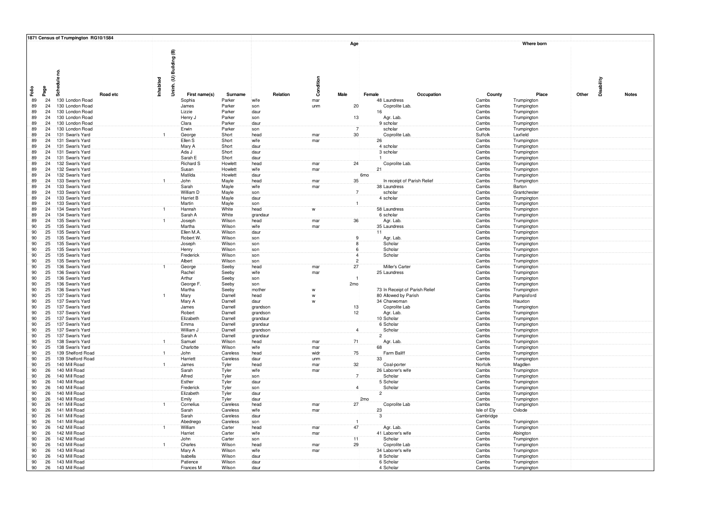|          |                                 | 1871 Census of Trumpington RG10/1584 |          |                         |                            |                    |              |                   |      |                     |                                      |                |                            |            |              |
|----------|---------------------------------|--------------------------------------|----------|-------------------------|----------------------------|--------------------|--------------|-------------------|------|---------------------|--------------------------------------|----------------|----------------------------|------------|--------------|
|          |                                 |                                      |          |                         |                            |                    |              |                   | Age  |                     |                                      |                | Where born                 |            |              |
|          |                                 |                                      |          |                         |                            |                    |              |                   |      |                     |                                      |                |                            |            |              |
|          |                                 |                                      |          |                         |                            |                    |              |                   |      |                     |                                      |                |                            |            |              |
|          |                                 |                                      |          |                         |                            |                    |              |                   |      |                     |                                      |                |                            |            |              |
|          |                                 |                                      |          | Uninh. (U) Building (B) |                            |                    |              |                   |      |                     |                                      |                |                            |            |              |
|          |                                 | Schedule no.                         |          |                         |                            |                    |              |                   |      |                     |                                      |                |                            |            |              |
|          |                                 |                                      |          | Inhabited               |                            |                    |              | Condition         |      |                     |                                      |                |                            | Disability |              |
| Falio    | Page                            |                                      |          |                         |                            |                    |              |                   |      |                     |                                      |                |                            |            |              |
|          |                                 |                                      | Road etc |                         | First name(s)              | Surname            | Relation     |                   | Male | Female              | Occupation                           | County         | Place                      | Other      | <b>Notes</b> |
| 89<br>89 | 24<br>24 <sup>°</sup>           | 130 London Road<br>130 London Road   |          |                         | Sophia<br>James            | Parker<br>Parker   | wife         | mar               |      | 20                  | 48 Laundress<br>Coprolite Lab        | Cambs<br>Cambs | Trumpington                |            |              |
| 89       | 24 <sup>3</sup>                 | 130 London Road                      |          |                         | Lizzie                     | Parker             | son<br>daur  | unm               |      |                     | 16                                   | Cambs          | Trumpington<br>Trumpington |            |              |
| 89       | 24                              | 130 London Road                      |          |                         | Henry J                    | Parker             | son          |                   |      | 13                  | Agr. Lab.                            | Cambs          | Trumpington                |            |              |
| 89       | 24                              | 130 London Road                      |          |                         | Clara                      | Parker             | daur         |                   |      |                     | 9 scholar                            | Cambs          | Trumpington                |            |              |
| 89       | 24                              | 130 London Road                      |          |                         | Erwin                      | Parker             | son          |                   |      | $\overline{7}$      | scholar                              | Cambs          | Trumpington                |            |              |
| 89       | 24                              | 131 Swan's Yard                      |          | $\mathbf{1}$            | George                     | Short              | head         | mar               |      | 30                  | Coprolite Lab                        | Suffolk        | Laxfield                   |            |              |
| 89       | 24                              | 131 Swan's Yard                      |          |                         | Ellen S                    | Short              | wife         | mar               |      |                     | 26                                   | Cambs          | Trumpington                |            |              |
| 89       | 24                              | 131 Swan's Yard                      |          |                         | Mary A                     | Short              | daur         |                   |      |                     | 4 scholar                            | Cambs          | Trumpington                |            |              |
| 89<br>89 | 24<br>24                        | 131 Swan's Yard<br>131 Swan's Yard   |          |                         | Ada J<br>Sarah E           | Short<br>Short     | daur<br>daur |                   |      |                     | 3 scholar                            | Cambs<br>Cambs | Trumpington<br>Trumpington |            |              |
| 89       | 24                              | 132 Swan's Yard                      |          |                         | <b>Richard S</b>           | Howlett            | head         | mar               |      | 24                  | Coprolite Lab                        | Cambs          | Trumpington                |            |              |
| 89       | 24                              | 132 Swan's Yard                      |          |                         | Susan                      | Howlett            | wife         | mar               |      |                     | 21                                   | Cambs          | Trumpington                |            |              |
| 89       | 24                              | 132 Swan's Yard                      |          |                         | Matilda                    | Howlett            | daur         |                   |      | 6 <sub>mo</sub>     |                                      | Cambs          | Trumpington                |            |              |
| 89       | 24                              | 133 Swan's Yard                      |          | $\overline{1}$          | John                       | Mayle              | head         | mar               |      | 35                  | In receipt of Parish Relie           | Cambs          | Trumpington                |            |              |
| 89       | 24                              | 133 Swan's Yard                      |          |                         | Sarah                      | Mayle              | wife         | mar               |      |                     | 38 Laundress                         | Cambs          | Barton                     |            |              |
| 89       | 24                              | 133 Swan's Yard                      |          |                         | William D                  | Mayle              | son          |                   |      | $\overline{7}$      | scholar                              | Cambs          | Grantchester               |            |              |
| 89<br>89 | 24<br>24                        | 133 Swan's Yard                      |          |                         | <b>Harriet B</b><br>Martin | Mayle              | daur         |                   |      |                     | 4 scholar                            | Cambs          | Trumpington                |            |              |
| 89       | 24                              | 133 Swan's Yard<br>134 Swan's Yard   |          |                         | Hannah                     | Mayle<br>White     | son<br>head  | w                 |      |                     | 58 Laundress                         | Cambs<br>Cambs | Trumpington<br>Trumpington |            |              |
| 89       | 24                              | 134 Swan's Yard                      |          |                         | Sarah A                    | White              | grandaur     |                   |      |                     | 6 scholar                            | Cambs          | Trumpington                |            |              |
| 89       | 24                              | 135 Swan's Yard                      |          |                         | Joseph                     | Wilson             | head         | mar               |      | 36                  | Agr. Lab.                            | Cambs          | Trumpington                |            |              |
| 90       | 25                              | 135 Swan's Yard                      |          |                         | Martha                     | Wilson             | wife         | mar               |      |                     | 35 Laundress                         | Cambs          | Trumpington                |            |              |
| 90       | 25                              | 135 Swan's Yard                      |          |                         | Ellen M.A                  | Wilson             | daur         |                   |      |                     | 11                                   | Cambs          | Trumpington                |            |              |
| 90       | 25                              | 135 Swan's Yard                      |          |                         | Robert W.                  | Wilson             | son          |                   |      | 9                   | Agr. Lab.                            | Cambs          | Trumpington                |            |              |
| 90       | 25                              | 135 Swan's Yard                      |          |                         | Joseph                     | Wilson             | son          |                   |      | 8                   | Scholar                              | Cambs          | Trumpington                |            |              |
| 90<br>90 | 25 <sub>1</sub><br>$25^{\circ}$ | 135 Swan's Yard<br>135 Swan's Yard   |          |                         | Henry<br>Frederick         | Wilson<br>Wilson   | son<br>son   |                   |      | 6<br>$\overline{4}$ | Scholar<br>Scholar                   | Cambs<br>Cambs | Trumpington<br>Trumpington |            |              |
| 90       | 25                              | 135 Swan's Yard                      |          |                         | Albert                     | Wilson             | son          |                   |      | $\overline{c}$      |                                      | Cambs          | Trumpington                |            |              |
| 90       | 25                              | 136 Swan's Yard                      |          |                         | George                     | Seeby              | head         | mar               |      | 27                  | Miller's Carter                      | Cambs          | Trumpington                |            |              |
| 90       | 25                              | 136 Swan's Yard                      |          |                         | Rachel                     | Seeby              | wife         | mar               |      |                     | 25 Laundress                         | Cambs          | Trumpington                |            |              |
| 90       | $25^{\circ}$                    | 136 Swan's Yard                      |          |                         | Arthur                     | Seeby              | son          |                   |      |                     |                                      | Cambs          | Trumpington                |            |              |
| $90\,$   | 25                              | 136 Swan's Yard                      |          |                         | George F                   | Seeby              | son          |                   | 2mo  |                     |                                      | Cambs          | Trumpington                |            |              |
| 90       | 25                              | 136 Swan's Yard                      |          |                         | Martha                     | Seeby              | mother       | ${\mathsf W}$     |      |                     | 73 In Receipt of Parish Relief       | Cambs          | Trumpington                |            |              |
| 90<br>90 | 25<br>25                        | 137 Swan's Yard<br>137 Swan's Yard   |          |                         | Mary<br>Mary A             | Darnell<br>Darnell | head<br>daur | $\mathsf{w}$<br>w |      |                     | 80 Allowed by Parish<br>34 Charwoman | Cambs<br>Cambs | Pampisford<br>Hauxton      |            |              |
| 90       | 25                              | 137 Swan's Yard                      |          |                         | James                      | Darnell            | grandson     |                   |      | 13                  | Coprolite Lab                        | Cambs          | Trumpington                |            |              |
| 90       | 25                              | 137 Swan's Yard                      |          |                         | Robert                     | Darnell            | grandson     |                   |      | 12                  | Agr. Lab.                            | Cambs          | Trumpington                |            |              |
| 90       | 25                              | 137 Swan's Yard                      |          |                         | Elizabeth                  | Darnell            | grandaur     |                   |      |                     | 10 Scholar                           | Cambs          | Trumpington                |            |              |
| 90       | 25                              | 137 Swan's Yard                      |          |                         | Emma                       | Darnell            | grandaur     |                   |      |                     | 6 Scholar                            | Cambs          | Trumpington                |            |              |
| 90       | 25                              | 137 Swan's Yard                      |          |                         | William J                  | Darnell            | grandson     |                   |      | $\overline{4}$      | Scholar                              | Cambs          | Trumpington                |            |              |
| 90       | $25^{\circ}$                    | 137 Swan's Yard                      |          |                         | Sarah A                    | Darnell            | grandaur     |                   |      |                     | $\overline{2}$                       | Cambs          | Trumpington                |            |              |
| 90<br>90 | 25<br>25                        | 138 Swan's Yard<br>138 Swan's Yard   |          | $\mathbf{1}$            | Samuel<br>Charlotte        | Wilson<br>Wilson   | head<br>wife | mar<br>mar        |      | 71                  | Agr. Lab.<br>68                      | Cambs<br>Cambs | Trumpington                |            |              |
| 90       | 25                              | 139 Shelford Road                    |          | $\mathbf{1}$            | John                       | Careless           | head         | widr              |      | 75                  | Farm Baliff                          | Cambs          | Trumpington<br>Trumpington |            |              |
| 90       | 25                              | 139 Shelford Road                    |          |                         | Harriett                   | Careless           | daur         | unm               |      |                     | 33                                   | Cambs          | Trumpington                |            |              |
| 90       | 25                              | 140 Mill Road                        |          | $\mathbf{1}$            | James                      | Tyler              | head         | mar               |      | 32 <sup>3</sup>     | Coal-porter                          | Norfolk        | Magdlen                    |            |              |
| 90       | 26                              | 140 Mill Road                        |          |                         | Sarah                      | Tyler              | wife         | mar               |      |                     | 26 Laborer's wife                    | Cambs          | Trumpington                |            |              |
| 90       | 26                              | 140 Mill Road                        |          |                         | Alfred                     | Tyler              | son          |                   |      | $\overline{7}$      | Scholar                              | Cambs          | Trumpington                |            |              |
| 90       | 26                              | 140 Mill Road                        |          |                         | Esther                     | Tyler              | daur         |                   |      |                     | 5 Scholar                            | Cambs          | Trumpington                |            |              |
| 90<br>90 | 26<br>26                        | 140 Mill Road<br>140 Mill Road       |          |                         | Frederick<br>Elizabeth     | Tyler<br>Tyler     | son<br>daur  |                   |      | $\overline{4}$      | Scholar<br>$\overline{2}$            | Cambs<br>Cambs | Trumpington<br>Trumpington |            |              |
| 90       | 26                              | 140 Mill Road                        |          |                         | Emily                      | Tvler              | daur         |                   |      | 2mo                 |                                      | Cambs          | Trumpington                |            |              |
| 90       | 26                              | 141 Mill Road                        |          |                         | Cornelius                  | Careless           | head         | mar               |      | 27                  | Coprolite Lab                        | Cambs          | Trumpington                |            |              |
| 90       | 26                              | 141 Mill Road                        |          |                         | Sarah                      | Careless           | wife         | mar               |      |                     | 23                                   | Isle of Ely    | Oxlode                     |            |              |
| 90       | 26                              | 141 Mill Road                        |          |                         | Sarah                      | Careless           | daur         |                   |      |                     | 3                                    | Cambridge      |                            |            |              |
| 90       | 26                              | 141 Mill Road                        |          |                         | Abednego                   | Careless           | son          |                   |      |                     |                                      | Cambs          | Trumpington                |            |              |
| 90       | 26                              | 142 Mill Road                        |          |                         | William                    | Carter             | head         | mar               |      | 47                  | Agr. Lab.                            | Cambs          | Trumpington                |            |              |
| 90<br>90 | $26^{\circ}$<br>26              | 142 Mill Road<br>142 Mill Road       |          |                         | Harriet<br>John            | Carter<br>Carter   | wife<br>son  | mar               |      | $\overline{11}$     | 41 Laborer's wife<br>Scholar         | Cambs<br>Cambs | Abington                   |            |              |
| 90       | 26                              | 143 Mill Road                        |          |                         | Charles                    | Wilson             | head         | mar               |      | 29                  | Coprolite Lab                        | Cambs          | Trumpington<br>Trumpington |            |              |
| 90       | 26                              | 143 Mill Road                        |          |                         | Mary A                     | Wilson             | wife         | mar               |      |                     | 34 Laborer's wife                    | Cambs          | Trumpington                |            |              |
| $90\,$   | 26                              | 143 Mill Road                        |          |                         | Isabella                   | Wilson             | daur         |                   |      |                     | 8 Scholar                            | Cambs          | Trumpington                |            |              |
| 90       | 26                              | 143 Mill Road                        |          |                         | Patience                   | Wilson             | daur         |                   |      |                     | 6 Scholar                            | Cambs          | Trumpington                |            |              |
| 90       | 26                              | 143 Mill Road                        |          |                         | Frances M                  | Wilson             | daur         |                   |      |                     | 4 Scholar                            | Cambs          | Trumpington                |            |              |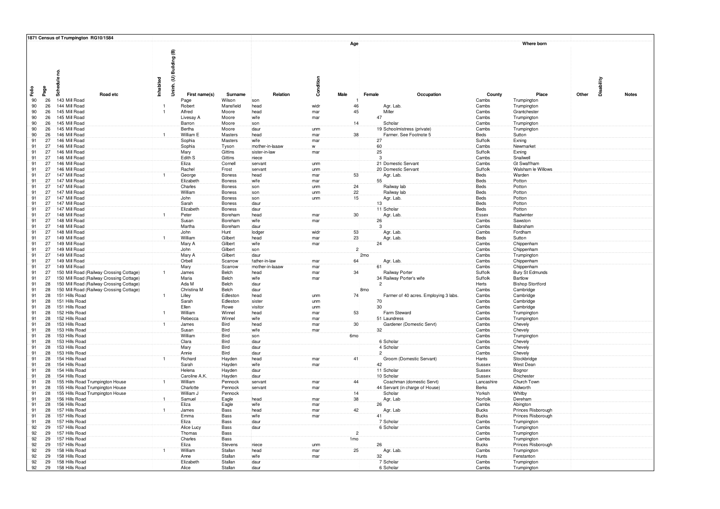|       |                      | 1871 Census of Trumpington RG10/1584                                        |                         |                    |                         |              |                 |                 |                                      |                       |                                      |            |              |
|-------|----------------------|-----------------------------------------------------------------------------|-------------------------|--------------------|-------------------------|--------------|-----------------|-----------------|--------------------------------------|-----------------------|--------------------------------------|------------|--------------|
|       |                      | g<br>Schedule<br>Inhabited                                                  | Uninh. (U) Building (B) |                    |                         | Condition    | Age             |                 |                                      |                       | Where born                           | Disability |              |
| Faile | Page                 | Road etc                                                                    | First name(s)           | Surname            | Relation                |              | <b>Male</b>     | Female          | Occupation                           | County                | Place                                | Other      | <b>Notes</b> |
|       | 90<br>26             | 143 Mill Road                                                               | Page                    | Wilson             | son                     |              |                 |                 |                                      | Cambs                 | Trumpington                          |            |              |
|       | 90<br>26             | 144 Mill Road                                                               | Robert                  | Mansfield          | head                    | widr         | 46              |                 | Agr. Lab.                            | Cambs                 | Trumpington                          |            |              |
|       | 90<br>26             | 145 Mill Road                                                               | Alfred                  | Moore              | head                    | mar          | 45              |                 | Miller                               | Cambs                 | Grantchester                         |            |              |
|       | 90<br>26<br>90<br>26 | 145 Mill Road<br>145 Mill Road                                              | Livesay A               | Moore              | wife<br>son             | mar          |                 | 47              | Scholar                              | Cambs<br>Cambs        | Trumpington                          |            |              |
|       | 90<br>26             | 145 Mill Road                                                               | Barron<br>Bertha        | Moore<br>Moore     | daur                    | unm          | 14              |                 | 19 Schoolmistress (private)          | Cambs                 | Trumpington<br>Trumpington           |            |              |
|       | 90<br>26             | 146 Mill Road<br>$\overline{1}$                                             | William E               | Masters            | head                    | mar          | 38              |                 | Farmer. See Footnote 5               | Beds                  | Sutton                               |            |              |
|       | 91<br>27             | 146 Mill Road                                                               | Sophia                  | Masters            | wife                    | mar          |                 | 27              |                                      | Suffolk               | Exning                               |            |              |
|       | 91<br>27             | 146 Mill Road                                                               | Sophia                  | Tyson              | mother-in-laaaw         | $\mathsf{w}$ |                 | 60              |                                      | Cambs                 | Newmarket                            |            |              |
|       | 27<br>91             | 146 Mill Road                                                               | Mary                    | Gittins            | sister-in-law           | mar          |                 | 25              |                                      | Suffolk               | Exning                               |            |              |
|       | 91<br>27<br>91<br>27 | 146 Mill Road<br>146 Mill Road                                              | Edith S<br>Eliza        | Gittins<br>Cornell | niece<br>servant        | unm          |                 | 3 <sup>2</sup>  | 21 Domestic Servant                  | Cambs<br>Cambs        | Snailwell<br><b>Gt Swaffham</b>      |            |              |
|       | 91<br>27             | 146 Mill Road                                                               | Rachel                  | Frost              | servant                 | unm          |                 |                 | 20 Domestic Servant                  | Suffolk               | Walsham le Willows                   |            |              |
|       | 27<br>91             | 147 Mill Road                                                               | George                  | Boness             | head                    | mar          | 53              |                 | Agr. Lab.                            | Beds                  | Warden                               |            |              |
|       | 27<br>91             | 147 Mill Road                                                               | Elizabeth               | Boness             | wife                    | mar          |                 | $55^{\circ}$    |                                      | Beds                  | Potton                               |            |              |
|       | 91<br>27             | 147 Mill Road                                                               | Charles                 | Boness             | son                     | unm          | 24              |                 | Railway lab                          | Beds                  | Potton                               |            |              |
|       | 91<br>27<br>91<br>27 | 147 Mill Road<br>147 Mill Road                                              | William<br>John         | Boness<br>Boness   | son<br>son              | unm          | 22<br>15        |                 | Railway lab                          | Beds<br>Beds          | Potton<br>Potton                     |            |              |
|       | 91<br>27             | 147 Mill Road                                                               | Sarah                   | Boness             | daur                    | unm          |                 | 13              | Agr. Lab.                            | Beds                  | Potton                               |            |              |
|       | 91<br>27             | 147 Mill Road                                                               | Elizabeth               | Boness             | daur                    |              |                 |                 | 11 Scholar                           | Beds                  | Potton                               |            |              |
|       | 91<br>27             | 148 Mill Road                                                               | Peter                   | Boreham            | head                    | mar          | $30\,$          |                 | Agr. Lab.                            | Essex                 | Radwinter                            |            |              |
|       | 91<br>27             | 148 Mill Road                                                               | Susan                   | Boreham            | wife                    | mar          |                 | 26              |                                      | Cambs                 | Sawston                              |            |              |
|       | 91<br>27             | 148 Mill Road                                                               | Martha                  | Boreham            | daur                    | widr         | 53              | 3               |                                      | Cambs                 | Babraham                             |            |              |
|       | 91<br>27<br>91<br>27 | 148 Mill Road<br>149 Mill Road                                              | John<br>William         | Hunt<br>Gilbert    | lodger<br>head          | mar          | 23              |                 | Agr. Lab.<br>Agr. Lab.               | Cambs<br>Beds         | Fordham<br>Sutton                    |            |              |
|       | 91<br>27             | 149 Mill Road                                                               | Mary A                  | Gilbert            | wife                    | mar          |                 | 24              |                                      | Cambs                 | Chippenham                           |            |              |
|       | 91<br>27             | 149 Mill Road                                                               | John                    | Gilbert            | son                     |              | $\overline{2}$  |                 |                                      | Cambs                 | Chippenham                           |            |              |
|       | 91<br>27             | 149 Mill Road                                                               | Mary A                  | Gilbert            | daur                    |              |                 | 2 <sub>mo</sub> |                                      | Cambs                 | Trumpington                          |            |              |
|       | 91<br>27             | 149 Mill Road                                                               | Orbell                  | Scarrow            | father-in-law           | mar          | 64              |                 | Agr. Lab.                            | Cambs                 | Chippenham                           |            |              |
|       | 91<br>27<br>91<br>27 | 149 Mill Road<br>150 Mill Road (Railway Crossing Cottage)<br>$\overline{1}$ | Mary<br>James           | Scarrow<br>Belch   | mother-in-laaaw<br>head | mar<br>mar   | 34              | 61              | Railway Porter                       | Cambs<br>Suffolk      | Chippenham<br><b>Bury St Edmunds</b> |            |              |
|       | 91<br>27             | 150 Mill Road (Railway Crossing Cottage)                                    | Maria                   | Belch              | wife                    | mar          |                 |                 | 34 Railway Porter's wife             | Suffolk               | Bartlow                              |            |              |
|       | 91<br>28             | 150 Mill Road (Railway Crossing Cottage)                                    | Ada M                   | Belch              | daur                    |              |                 |                 |                                      | Herts                 | <b>Bishop Stortford</b>              |            |              |
|       | 28<br>91             | 150 Mill Road (Railway Crossing Cottage)                                    | Christina M             | Belch              | daur                    |              |                 | 8 <sub>mo</sub> |                                      | Cambs                 | Cambridge                            |            |              |
|       | 91<br>28             | 151 Hills Road                                                              | Lilley                  | Edleston           | head                    | unm          | 74              |                 | Farmer of 40 acres. Employing 3 labs | Cambs                 | Cambridge                            |            |              |
|       | 91<br>28<br>91<br>28 | 151 Hills Road<br>151 Hills Road                                            | Sarah<br>Ellen          | Edleston<br>Rowe   | sister<br>visitor       | unm<br>unm   |                 | 70<br>30        |                                      | Cambs<br>Cambs        | Cambridge<br>Cambridge               |            |              |
|       | 91<br>28             | 152 Hills Road                                                              | William                 | Winnel             | head                    | mar          | 53              |                 | Farm Steward                         | Cambs                 | Trumpington                          |            |              |
|       | 91<br>28             | 152 Hills Road                                                              | Rebecca                 | Winnel             | wife                    | mar          |                 |                 | 51 Laundress                         | Cambs                 | Trumpington                          |            |              |
|       | 91<br>28             | 153 Hills Road                                                              | James                   | Bird               | head                    | mar          | 30              |                 | Gardener (Domestic Servt)            | Cambs                 | Chevely                              |            |              |
|       | 91<br>28             | 153 Hills Road                                                              | Susan                   | Bird               | wife                    | mar          |                 | 32              |                                      | Cambs                 | Chevely                              |            |              |
|       | 91<br>28<br>28       | 153 Hills Road<br>153 Hills Road                                            | William<br>Clara        | Bird               | son<br>daur             |              | 6mo             |                 |                                      | Cambs                 | Trumpington                          |            |              |
|       | 91<br>91<br>28       | 153 Hills Road                                                              | Mary                    | Bird<br>Bird       | daur                    |              |                 |                 | 6 Scholar<br>4 Scholar               | Cambs<br>Cambs        | Chevely<br>Chevely                   |            |              |
|       | 91<br>28             | 153 Hills Road                                                              | Annie                   | Bird               | daur                    |              |                 | $\overline{2}$  |                                      | Cambs                 | Chevely                              |            |              |
|       | 91<br>28             | 154 Hills Road                                                              | Richard                 | Hayden             | head                    | mar          | 41              |                 | Groom (Domestic Servant)             | Hants                 | Stockbridge                          |            |              |
|       | 28<br>91             | 154 Hills Road                                                              | Sarah                   | Hayden             | wife                    | mar          |                 | 42              |                                      | Sussex                | West Dean                            |            |              |
|       | 91<br>28<br>91<br>28 | 154 Hills Road<br>154 Hills Road                                            | Helena<br>Caroline A.K  | Hayden             | daur<br>daur            |              |                 |                 | 11 Scholar<br>10 Scholar             | Sussex                | Bognor<br>Chichester                 |            |              |
|       | 91<br>28             | 155 Hills Road Trumpington House                                            | William                 | Hayden<br>Pennock  | servant                 | mar          | 44              |                 | Coachman (domestic Servt)            | Sussex<br>Lancashire  | Church Town                          |            |              |
|       | 91<br>28             | 155 Hills Road Trumpington House                                            | Charlotte               | Pennock            | servant                 | mar          |                 |                 | 44 Servant (in charge of House)      | <b>Berks</b>          | Aldworth                             |            |              |
|       | 91<br>28             | 155 Hills Road Trumpington House                                            | William J               | Pennock            |                         |              | 14              |                 | Scholar                              | Yorksh                | Whitby                               |            |              |
|       | 91<br>28             | 156 Hills Road<br>$\mathbf{1}$                                              | Samuel                  | Eagle              | head                    | mar          | 38              |                 | Agr. Lab                             | Norfolk               | Dereham                              |            |              |
|       | 91<br>28<br>91<br>28 | 156 Hills Road<br>157 Hills Road<br>$\mathbf{1}$                            | Eliza<br>James          | Eagle<br>Bass      | wife<br>head            | mar<br>mar   | 42              | 26 <sup>2</sup> | Agr. Lab                             | Cambs<br><b>Bucks</b> | Abington<br>Princes Risborough       |            |              |
|       | 91<br>28             | 157 Hills Road                                                              | Emma                    | Bass               | wife                    | mar          |                 | 41              |                                      | <b>Bucks</b>          | Princes Risborough                   |            |              |
|       | 91<br>28             | 157 Hills Road                                                              | Eliza                   | Bass               | daur                    |              |                 |                 | 7 Scholar                            | Cambs                 | Trumpington                          |            |              |
|       | 92<br>29             | 157 Hills Road                                                              | Alice Lucy              | Bass               | daur                    |              |                 |                 | 6 Scholar                            | Cambs                 | Trumpington                          |            |              |
|       | 92<br>29             | 157 Hills Road                                                              | Thomas                  | Bass               |                         |              | $\overline{c}$  |                 |                                      | Cambs                 | Trumpington                          |            |              |
|       | 92<br>29<br>92<br>29 | 157 Hills Road<br>157 Hills Road                                            | Charles                 | Bass               |                         |              | 1 <sub>mo</sub> | 26              |                                      | Cambs                 | Trumpington                          |            |              |
|       | 92<br>29             | 158 Hills Road                                                              | Eliza<br>William        | Stevens<br>Stallan | niece<br>head           | unm<br>mar   | 25              |                 | Agr. Lab.                            | <b>Bucks</b><br>Cambs | Princes Risborough<br>Trumpington    |            |              |
|       | 92<br>29             | 158 Hills Road                                                              | Anne                    | Stallan            | wife                    | mar          |                 | 32 <sup>2</sup> |                                      | Hunts                 | Fenstanton                           |            |              |
|       | 92<br>29             | 158 Hills Road                                                              | Elizabeth               | Stallan            | daur                    |              |                 |                 | 7 Scholar                            | Cambs                 | Trumpington                          |            |              |
|       | 92<br>29             | 158 Hills Road                                                              | Alice                   | Stallan            | daur                    |              |                 |                 | 6 Scholar                            | Cambs                 | Trumpington                          |            |              |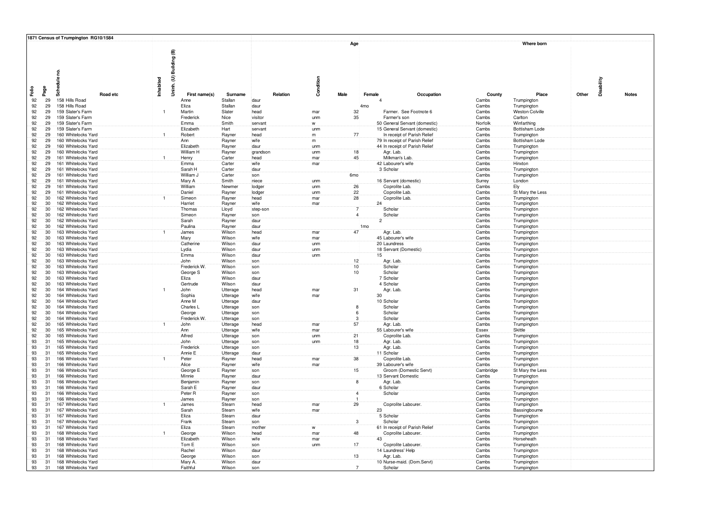|                             | 1871 Census of Trumpington RG10/1584       |                         |                      |                    |            |                 |                  |                                               |                  |                            |            |              |
|-----------------------------|--------------------------------------------|-------------------------|----------------------|--------------------|------------|-----------------|------------------|-----------------------------------------------|------------------|----------------------------|------------|--------------|
|                             | Schedule no.<br>Inhabited                  | Uninh. (U) Building (B) |                      |                    | Condition  | Age             |                  |                                               |                  | Where born                 | Disability |              |
| Faile<br>Page               | Road etc                                   | First name(s)           | Surname              | Relation           |            | Male            | Female           | Occupation                                    | County           | Place                      | Other      | <b>Notes</b> |
| 92<br>29                    | 158 Hills Road                             | Anne                    | Stallan              | daur               |            |                 |                  |                                               | Cambs            | Trumpington                |            |              |
| 92<br>29                    | 158 Hills Road                             | Eliza                   | Stallan              | daur               |            |                 | :4 <sub>mo</sub> |                                               | Cambs            | Trumpington                |            |              |
| 92<br>29<br>29              | 159 Slater's Farm<br>159 Slater's Farm     | Martin                  | Slater               | head               | mar        | 32              |                  | Farmer. See Footnote 6                        | Cambs            | <b>Weston Colville</b>     |            |              |
| 92<br>92<br>29              | 159 Slater's Farm                          | Frederick<br>Emma       | Nice<br>Smith        | visitor<br>servant | unm<br>W   | 35              |                  | Farmer's son<br>50 General Servant (domestic) | Cambs<br>Norfolk | Carlton<br>Winfarthing     |            |              |
| 92<br>29                    | 159 Slater's Farm                          | Elizabeth               | Hart                 | servant            | unm        |                 |                  | 15 General Servant (domestic)                 | Cambs            | <b>Bottisham Lode</b>      |            |              |
| 92<br>29                    | 160 Whitelocks Yard<br>$\mathbf{1}$        | Robert                  | Rayner               | head               | m          | 77              |                  | In receipt of Parish Relief                   | Cambs            | Trumpington                |            |              |
| 92<br>29                    | 160 Whitelocks Yard                        | Ann                     | Rayner               | wife               | m          |                 |                  | 79 In receipt of Parish Relief                | Cambs            | <b>Bottisham Lode</b>      |            |              |
| 92<br>29                    | 160 Whitelocks Yard                        | Elizabeth               | Rayner               | daur               | unm        |                 |                  | 44 In receipt of Parish Relief                | Cambs            | Trumpington                |            |              |
| 92<br>29                    | 160 Whitelocks Yard<br>161 Whitelocks Yard | William H               | Rayner               | grandson           | unm        | 18              |                  | Agr. Lab.<br>Milkman's Lab.                   | Cambs            | Trumpington                |            |              |
| 92<br>29<br>92<br>29        | 161 Whitelocks Yard                        | Henry<br>Emma           | Carter<br>Carter     | head<br>wife       | mar<br>mar | 45              |                  | 42 Labourer's wife                            | Cambs<br>Cambs   | Trumpington<br>Hinxton     |            |              |
| 92<br>29                    | 161 Whitelocks Yard                        | Sarah H                 | Carter               | daur               |            |                 |                  | 3 Scholar                                     | Cambs            | Trumpington                |            |              |
| 92<br>29                    | 161 Whitelocks Yard                        | William J               | Carter               | son                |            | 6mo             |                  |                                               | Cambs            | Trumpington                |            |              |
| 92<br>29                    | 161 Whitelocks Yard                        | Mary A                  | Smith                | niece              | unm        |                 |                  | 16 Servant (domestic)                         | Surrey           | London                     |            |              |
| 92<br>29                    | 161 Whitelocks Yard                        | William                 | Newmer               | lodger             | unm        | 26              |                  | Coprolite Lab.                                | Cambs            | Ely                        |            |              |
| 92<br>29<br>30              | 161 Whitelocks Yard                        | Daniel                  | Rayner               | lodger             | unm        | 22<br>28        |                  | Coprolite Lab.                                | Cambs            | St Mary the Less           |            |              |
| 92<br>92<br>30 <sup>°</sup> | 162 Whitelocks Yard<br>162 Whitelocks Yard | Simeon<br>Harriet       | Rayner<br>Rayner     | head<br>wife       | mar<br>mar |                 | 24               | Coprolite Lab                                 | Cambs<br>Cambs   | Trumpington<br>Trumpington |            |              |
| 92<br>30                    | 162 Whitelocks Yard                        | Thomas                  | Lloyd                | step-sor           |            |                 |                  | Scholar                                       | Cambs            | Trumpington                |            |              |
| 92<br>30                    | 162 Whitelocks Yard                        | Simeon                  | Rayner               | son                |            | $\overline{4}$  |                  | Scholar                                       | Cambs            | Trumpington                |            |              |
| 92<br>30                    | 162 Whitelocks Yard                        | Sarah                   | Rayner               | daur               |            |                 | $\overline{2}$   |                                               | Cambs            | Trumpington                |            |              |
| 92<br>30                    | 162 Whitelocks Yard                        | Paulina                 | Rayner               | daur               |            |                 | 1 <sub>mo</sub>  |                                               | Cambs            | Trumpington                |            |              |
| 92<br>30<br>92              | 163 Whitelocks Yard<br>163 Whitelocks Yard | James                   | Wilson<br>Wilson     | head               | mar        | 47              |                  | Agr. Lab.<br>45 Labourer's wife               | Cambs            | Trumpington                |            |              |
| 30<br>92<br>30              | 163 Whitelocks Yard                        | Mary<br>Catherine       | Wilson               | wife<br>daur       | mar<br>unm |                 |                  | 20 Laundress                                  | Cambs<br>Cambs   | Trumpington<br>Trumpington |            |              |
| 92<br>30                    | 163 Whitelocks Yard                        | Lydia                   | Wilson               | daur               | unm        |                 |                  | 18 Servant (Domestic                          | Cambs            | Trumpington                |            |              |
| 92<br>30 <sup>°</sup>       | 163 Whitelocks Yard                        | Emma                    | Wilson               | daur               | unm        |                 | 15 <sup>2</sup>  |                                               | Cambs            | Trumpington                |            |              |
| 92<br>30                    | 163 Whitelocks Yard                        | John                    | Wilson               | son                |            | 12 <sub>1</sub> |                  | Agr. Lab.                                     | Cambs            | Trumpington                |            |              |
| 92<br>30                    | 163 Whitelocks Yard                        | Frederick W.            | Wilson               | son                |            | 10              |                  | Scholar                                       | Cambs            | Trumpington                |            |              |
| 92<br>30<br>92<br>30        | 163 Whitelocks Yard<br>163 Whitelocks Yard | George S<br>Eliza       | Wilson<br>Wilson     | son<br>daur        |            | 10              |                  | Scholar<br>7 Scholar                          | Cambs<br>Cambs   | Trumpington                |            |              |
| 92<br>30                    | 163 Whitelocks Yard                        | Gertrude                | Wilson               | daur               |            |                 |                  | 4 Scholar                                     | Cambs            | Trumpington<br>Trumpington |            |              |
| 92<br>30                    | 164 Whitelocks Yard                        | John                    | <b>Útterage</b>      | head               | mar        | $\overline{31}$ |                  | Agr. Lab.                                     | Cambs            | Trumpington                |            |              |
| 92<br>30                    | 164 Whitelocks Yard                        | Sophia                  | Utterage             | wife               | mar        |                 | 30               |                                               | Cambs            | Trumpington                |            |              |
| 92<br>30                    | 164 Whitelocks Yard                        | Anne M                  | Utterage             | daur               |            |                 |                  | 10 Scholar                                    | Cambs            | Trumpington                |            |              |
| 92<br>30                    | 164 Whitelocks Yard                        | Charles L               | Utterage             | son                |            |                 |                  | Scholar                                       | Cambs            | Trumpington                |            |              |
| 92<br>30<br>92<br>30        | 164 Whitelocks Yard<br>164 Whitelocks Yard | George<br>Frederick W.  | Utterage<br>Utterage | son<br>son         |            | 3               |                  | Scholar<br>Scholar                            | Cambs<br>Cambs   | Trumpington<br>Trumpington |            |              |
| 92<br>30                    | 165 Whitelocks Yard                        | John                    | Utterage             | head               | mar        | 57              |                  | Agr. Lab.                                     | Cambs            | Trumpington                |            |              |
| 92<br>30                    | 165 Whitelocks Yard                        | Ann                     | Utterage             | wife               | mar        |                 |                  | 55 Labourer's wife                            | Essex            | Skittle                    |            |              |
| 92<br>30                    | 165 Whitelocks Yard                        | Alfred                  | Utterage             | son                | unm        | 21              |                  | Coprolite Lab                                 | Cambs            | Trumpington                |            |              |
| 93<br>31                    | 165 Whitelocks Yard                        | John                    | Utterage             | son                | unm        | 18              |                  | Agr. Lab.                                     | Cambs            | Trumpington                |            |              |
| 93<br>31<br>93<br>31        | 165 Whitelocks Yard<br>165 Whitelocks Yard | Frederick<br>Annie E    | Utterage<br>Utterage | son<br>daur        |            | 13              |                  | Agr. Lab.<br>11 Scholar                       | Cambs<br>Cambs   | Trumpington<br>Trumpington |            |              |
| 93<br>31                    | 166 Whitelocks Yard                        | Peter                   | Rayner               | head               | mar        | 38              |                  | Coprolite Lab                                 | Cambs            | Trumpington                |            |              |
| 93<br>31                    | 166 Whitelocks Yard                        | Alice                   | Rayner               | wife               | mar        |                 |                  | 39 Labourer's wife                            | Cambs            | Trumpington                |            |              |
| 93<br>31                    | 166 Whitelocks Yard                        | George E                | Rayner               | son                |            | 15              |                  | Groom (Domestic Servt)                        | Cambridge        | St Mary the Less           |            |              |
| 93<br>31                    | 166 Whitelocks Yard                        | Minnie                  | Rayner               | daur               |            |                 |                  | 13 Servant Domestic                           | Cambs            | Trumpington                |            |              |
| 93<br>31<br>93<br>31        | 166 Whitelocks Yard<br>166 Whitelocks Yard | Benjamin<br>Sarah E     | Rayner               | son<br>daur        |            | <b>R</b>        |                  | Agr. Lab.<br>6 Scholar                        | Cambs<br>Cambs   | Trumpington                |            |              |
| 93<br>31                    | 166 Whitelocks Yard                        | Peter <sub>R</sub>      | Rayner<br>Rayner     | son                |            |                 |                  | Scholar                                       | Cambs            | Trumpington<br>Trumpington |            |              |
| 93<br>31                    | 166 Whitelocks Yard                        | James                   | Rayner               | son                |            |                 |                  |                                               | Cambs            | Trumpington                |            |              |
| 93<br>31                    | 167 Whitelocks Yard                        | James                   | Stearn               | head               | mar        | 29              |                  | Coprolite Labourer.                           | Cambs            | Trumpington                |            |              |
| 93<br>31                    | 167 Whitelocks Yard                        | Sarah                   | Stearn               | wife               | mar        |                 | 23               |                                               | Cambs            | Bassingbourne              |            |              |
| 93<br>31<br>93<br>31        | 167 Whitelocks Yard<br>167 Whitelocks Yard | Eliza<br>Frank          | Stearn               | daur<br>son        |            | 3 <sup>1</sup>  |                  | 5 Scholar<br>Scholar                          | Cambs<br>Cambs   | Trumpington                |            |              |
| 93<br>31                    | 167 Whitelocks Yard                        | Eliza                   | Stearn<br>Stearn     | mother             | w          |                 |                  | 61 In receipt of Parish Relief                | Cambs            | Trumpington<br>Trumpington |            |              |
| 93<br>31                    | 168 Whitelocks Yard                        | George                  | Wilson               | head               | mar        | 48              |                  | Coprolite Labourer.                           | Cambs            | Trumpington                |            |              |
| 93<br>31                    | 168 Whitelocks Yard                        | Elizabeth               | Wilson               | wife               | mar        |                 | 43               |                                               | Cambs            | Horseheath                 |            |              |
| 93<br>31                    | 168 Whitelocks Yard                        | Tom E                   | Wilson               | son                | unm        | 17              |                  | Coprolite Labourer                            | Cambs            | Trumpington                |            |              |
| 93<br>31<br>31              | 168 Whitelocks Yard<br>168 Whitelocks Yard | Rachel                  | Wilson<br>Wilson     | daur               |            |                 |                  | 14 Laundress' Help                            | Cambs<br>Cambs   | Trumpington                |            |              |
| 93<br>93<br>31              | 168 Whitelocks Yard                        | George<br>Mary A        | Wilson               | son<br>daur        |            | 13              |                  | Agr. Lab.<br>10 Nurse-maid. (Dom.Servt)       | Cambs            | Trumpington<br>Trumpington |            |              |
| 93<br>31                    | 168 Whitelocks Yard                        | Faithful                | Wilson               | son                |            |                 |                  | Scholar                                       | Cambs            | Trumpington                |            |              |
|                             |                                            |                         |                      |                    |            |                 |                  |                                               |                  |                            |            |              |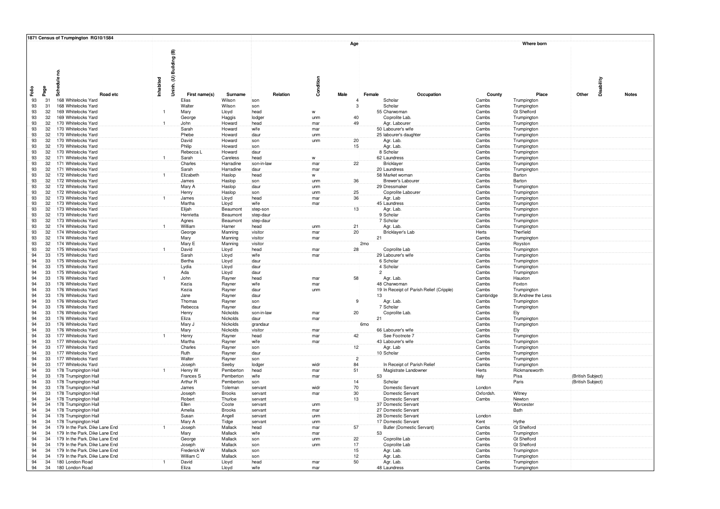|                                   | 1871 Census of Trumpington RG10/1584                         |                         |                      |                    |            |                 |                 |                                                         |                |                            |                   |              |
|-----------------------------------|--------------------------------------------------------------|-------------------------|----------------------|--------------------|------------|-----------------|-----------------|---------------------------------------------------------|----------------|----------------------------|-------------------|--------------|
|                                   | Schedule no.<br>Inhabited                                    | Uninh. (U) Building (B) |                      |                    | Condition  | Age             |                 |                                                         |                | Where born                 | Disability        |              |
| Faile<br>Page                     | Road etc                                                     | First name(s)           | Surname              | Relation           |            | Male            | Female          | Occupation                                              | County         | Place                      | Other             | <b>Notes</b> |
| 93<br>31                          | 168 Whitelocks Yard                                          | Elias                   | Wilson               | son                |            |                 |                 | Scholar                                                 | Cambs          | Trumpington                |                   |              |
| 93<br>31                          | 168 Whitelocks Yard                                          | Walter                  | Wilson               | son                |            |                 |                 | Scholar                                                 | Cambs          | Trumpington                |                   |              |
| 93<br>32                          | 169 Whitelocks Yard<br>$\mathbf{1}$                          | Mary                    | Lloyd                | head               | W          |                 |                 | 55 Charwoman                                            | Cambs          | <b>Gt Shelford</b>         |                   |              |
| 32<br>93                          | 169 Whitelocks Yard                                          | George                  | Haggis               | lodger             | unm        | 40              |                 | Coprolite Lab                                           | Cambs          | Trumpington                |                   |              |
| 32 <sup>1</sup><br>93<br>93<br>32 | 170 Whitelocks Yard<br>$\overline{1}$<br>170 Whitelocks Yard | John                    | Howard               | head<br>wife       | mar        | 49              |                 | Agr. Labourer                                           | Cambs          | Trumpington                |                   |              |
| 93<br>32                          | 170 Whitelocks Yard                                          | Sarah<br>Phebe          | Howard<br>Howard     | daur               | mar<br>unm |                 |                 | 50 Labourer's wife<br>25 labourer's daughter            | Cambs<br>Cambs | Trumpington<br>Trumpington |                   |              |
| 93<br>32                          | 170 Whitelocks Yard                                          | David                   | Howard               | son                | unm        | 20              |                 | Agr. Lab.                                               | Cambs          | Trumpington                |                   |              |
| 93<br>32                          | 170 Whitelocks Yard                                          | Philip                  | Howard               | son                |            | 15              |                 | Agr. Lab.                                               | Cambs          | Trumpington                |                   |              |
| 93<br>32                          | 170 Whitelocks Yard                                          | Rebecca L               | Howard               | daur               |            |                 |                 | 8 Scholar                                               | Cambs          | Trumpington                |                   |              |
| 93<br>32                          | 171 Whitelocks Yard                                          | Sarah                   | Careless             | head               | W          |                 |                 | 62 Laundress                                            | Cambs          | Trumpington                |                   |              |
| 93<br>32                          | 171 Whitelocks Yard                                          | Charles                 | Harradine            | son-in-law         | mar        | 22              |                 | Bricklayer                                              | Cambs          | Trumpington                |                   |              |
| 32 <sup>2</sup><br>93             | 171 Whitelocks Yard                                          | Sarah                   | Harradine            | daur               | mar        |                 |                 | 20 Laundress                                            | Cambs          | Trumpington                |                   |              |
| 93<br>32 <sup>2</sup>             | 172 Whitelocks Yard<br>$\mathbf{1}$                          | Elizabeth               | Haslop               | head               | W          |                 |                 | 58 Market woman                                         | Cambs          | Barton                     |                   |              |
| 32 <sup>2</sup><br>93             | 172 Whitelocks Yard                                          | James                   | Haslop               | son                | unm        | 36              |                 | Brewer's Laboure                                        | Cambs          | Barton                     |                   |              |
| 93<br>32<br>93<br>32              | 172 Whitelocks Yard<br>172 Whitelocks Yard                   | Mary A<br>Henry         | Haslop<br>Haslop     | daur<br>son        | unm<br>unm | 25              |                 | 29 Dressmaker<br>Coprolite Laboure                      | Cambs<br>Cambs | Trumpington<br>Trumpington |                   |              |
| 93<br>32                          | 173 Whitelocks Yard                                          | James                   | Lloyd                | head               | mar        | 36              |                 | Agr. Lab                                                | Cambs          | Trumpington                |                   |              |
| 93<br>32                          | 173 Whitelocks Yard                                          | Martha                  | Lloyd                | wife               | mar        |                 |                 | 45 Laundress                                            | Cambs          | Trumpington                |                   |              |
| 93<br>32                          | 173 Whitelocks Yard                                          | Elijah                  | Beaumont             | step-son           |            | 13              |                 | Agr. Lab.                                               | Cambs          | Trumpington                |                   |              |
| 93<br>32                          | 173 Whitelocks Yard                                          | Henrietta               | Beaumont             | step-daur          |            |                 |                 | 9 Scholar                                               | Cambs          | Trumpington                |                   |              |
| 93<br>32                          | 173 Whitelocks Yard                                          | Agnes                   | Beaumont             | step-dau           |            |                 |                 | 7 Scholar                                               | Cambs          | Trumpington                |                   |              |
| 93<br>32                          | 174 Whitelocks Yard                                          | William                 | Harner               | head               | unm        | 21              |                 | Agr. Lab.                                               | Cambs          | Trumpington                |                   |              |
| 93<br>32 <sup>2</sup><br>93<br>32 | 174 Whitelocks Yard<br>174 Whitelocks Yard                   | George                  | Manning              | visitor<br>visitor | mar<br>mar | 20              | 21              | <b>Bricklayer's Lat</b>                                 | Herts<br>Cambs | Therfield                  |                   |              |
| 93<br>32                          | 174 Whitelocks Yard                                          | Mary<br>Mary E          | Manning<br>Manning   | visitor            |            |                 | :2mo            |                                                         | Cambs          | Trumpington<br>Royston     |                   |              |
| 93<br>32                          | 175 Whitelocks Yard<br>$\overline{1}$                        | David                   | Lloyd                | head               | mar        | 28              |                 | Coprolite Lab                                           | Cambs          | Trumpington                |                   |              |
| 94<br>33                          | 175 Whitelocks Yard                                          | Sarah                   | Lloyd                | wife               | mar        |                 |                 | 29 Labourer's wife                                      | Cambs          | Trumpington                |                   |              |
| 94<br>33                          | 175 Whitelocks Yard                                          | Bertha                  | Lloyd                | daur               |            |                 |                 | 6 Scholar                                               | Cambs          | Trumpington                |                   |              |
| 94<br>33                          | 175 Whitelocks Yard                                          | Lydia                   | Lloyd                | daur               |            |                 |                 | 4 Scholar                                               | Cambs          | Trumpington                |                   |              |
| 94<br>33                          | 175 Whitelocks Yard                                          | Ada                     | Lloyd                | daur               |            |                 | $\overline{2}$  |                                                         | Cambs          | Trumpington                |                   |              |
| 94<br>33                          | 176 Whitelocks Yard                                          | John                    | Rayner               | head               | mar        | 58              |                 | Agr. Lab.                                               | Cambs          | Hauxton                    |                   |              |
| 94<br>33<br>33<br>94              | 176 Whitelocks Yard<br>176 Whitelocks Yard                   | Kezia<br>Kezia          | Rayner               | wife<br>daur       | mar<br>unn |                 |                 | 48 Charwomar<br>19 In Receipt of Parish Relief (Cripple | Cambs<br>Cambs | Foxton<br>Trumpington      |                   |              |
| 94<br>33                          | 176 Whitelocks Yard                                          | Jane                    | Rayner<br>Rayner     | daur               |            |                 | 13              |                                                         | Cambridg       | St. Andrew the Les:        |                   |              |
| 94<br>33                          | 176 Whitelocks Yard                                          | Thomas                  | Rayner               | son                |            |                 |                 | Agr. Lab.                                               | Cambs          | Trumpingtor                |                   |              |
| 94<br>33                          | 176 Whitelocks Yard                                          | Rebecca                 | Rayner               | daur               |            |                 |                 | 7 Scholar                                               | Cambs          | Trumpington                |                   |              |
| 94<br>33                          | 176 Whitelocks Yard                                          | Henry                   | Nickolds             | son-in-lay         | mar        | 20              |                 | Coprolite Lab                                           | Cambs          | Ely                        |                   |              |
| 94<br>33                          | 176 Whitelocks Yard                                          | Eliza                   | Nickolds             | daur               | mar        |                 | 21              |                                                         | Cambs          | Trumpington                |                   |              |
| 94<br>33                          | 176 Whitelocks Yard                                          | Mary J                  | Nickolds             | grandaur           |            |                 | 6 <sub>mo</sub> |                                                         | Cambs          | Trumpington                |                   |              |
| 94<br>33<br>33                    | 176 Whitelocks Yard                                          | Mary                    | Nickolds             | visitor            | mar        |                 |                 | 66 Labourer's wife                                      | Cambs          | Ely                        |                   |              |
| 94<br>94<br>33                    | 177 Whitelocks Yard<br>177 Whitelocks Yard                   | Henry<br>Martha         | Rayner<br>Rayner     | head<br>wife       | mar<br>mar | 42              |                 | See Footnote 7<br>43 Labourer's wife                    | Cambs<br>Cambs | Trumpington<br>Trumpington |                   |              |
| 94<br>33                          | 177 Whitelocks Yard                                          | Charles                 | Rayner               | son                |            | 12              |                 | Agr. Lab                                                | Cambs          | Trumpington                |                   |              |
| 94<br>33                          | 177 Whitelocks Yard                                          | Ruth                    | Rayner               | daur               |            |                 |                 | 10 Scholar                                              | Cambs          | Trumpington                |                   |              |
| 94<br>33                          | 177 Whitelocks Yard                                          | Walter                  | Rayner               | son                |            | $\overline{2}$  |                 |                                                         | Cambs          | Trumpington                |                   |              |
| 94<br>33                          | 177 Whitelocks Yard                                          | Joseph                  | Seeby                | lodge              | widr       | 84              |                 | In Receipt of Parish Relief                             | Cambs          | Trumpington                |                   |              |
| 94<br>33                          | 178 Trumpington Hall                                         | Henry W                 | Pemberton            | head               | mar        | 51              |                 | Magistrate Landowne                                     | Herts          | Rickmanswortl              |                   |              |
| 94<br>33<br>94<br>33              | 178 Trumpington Hall                                         | Frances S               | Pemberton            | wife               | mar        | 14              | 53              |                                                         | Italy          | Pisa<br>Paris              | (British Subject) |              |
| 94<br>33                          | 178 Trumpington Hall<br>178 Trumpington Hall                 | Arthur R<br>James       | Pemberton<br>Toleman | son<br>servant     | widr       | 70              |                 | Scholar<br>Domestic Servan                              | London         |                            | (British Subject) |              |
| 94<br>33                          | 178 Trumpington Hall                                         | Joseph                  | <b>Brooks</b>        | servant            | mar        | 30              |                 | Domestic Servant                                        | Oxfordsh       | Witney                     |                   |              |
| 94<br>34                          | 178 Trumpington Hall                                         | Robert                  | Thurloe              | servant            |            | 13              |                 | Domestic Servant                                        | Cambs          | Newton                     |                   |              |
| 94<br>34                          | 178 Trumpington Hall                                         | Ellen                   | Coote                | servant            | unm        |                 |                 | 37 Domestic Servant                                     |                | Worcester                  |                   |              |
| 94<br>34                          | 178 Trumpington Hall                                         | Amelia                  | <b>Brooks</b>        | servant            | mar        |                 |                 | 27 Domestic Servant                                     |                | Bath                       |                   |              |
| 94<br>34<br>94<br>34              | 178 Trumpington Hall<br>178 Trumpington Hall                 | Susan<br>Mary A         | Angell               | servant            | unm        |                 |                 | 28 Domestic Servant<br>17 Domestic Servant              | London         | Hythe                      |                   |              |
| 94<br>34                          | 179 In the Park. Dike Lane End                               | Joseph                  | Tidge<br>Mallack     | servant<br>head    | unm<br>mar | 57              |                 | Butler (Domestic Servant)                               | Kent<br>Cambs  | <b>Gt Shelford</b>         |                   |              |
| 94<br>34                          | 179 In the Park. Dike Lane End                               | Mary                    | Mallack              | wife               | mar        |                 | 53              |                                                         | Cambs          | Trumpington                |                   |              |
| 94<br>34                          | 179 In the Park. Dike Lane End                               | George                  | Mallack              | son                | unm        | 22              |                 | Coprolite Lab                                           | Cambs          | <b>Gt Shelford</b>         |                   |              |
| 94<br>34                          | 179 In the Park. Dike Lane End                               | Joseph                  | Mallack              | son                | unm        | 17 <sup>2</sup> |                 | Coprolite Lab                                           | Cambs          | <b>Gt Shelford</b>         |                   |              |
| 94<br>34                          | 179 In the Park. Dike Lane End                               | Frederick W             | Mallack              | son                |            | 15              |                 | Agr. Lab.                                               | Cambs          | Trumpington                |                   |              |
| 94<br>34<br>94                    | 179 In the Park. Dike Lane End                               | William C               | Mallack              | son                |            | 12<br>50        |                 | Agr. Lab.                                               | Cambs          | Trumpington                |                   |              |
| 34<br>94<br>34                    | 180 London Road<br>180 London Road                           | David<br>Eliza          | Lloyd<br>Lloyd       | head<br>wife       | mar<br>mar |                 |                 | Agr. Lab.<br>48 Laundress                               | Cambs<br>Cambs | Trumpington<br>Trumpington |                   |              |
|                                   |                                                              |                         |                      |                    |            |                 |                 |                                                         |                |                            |                   |              |